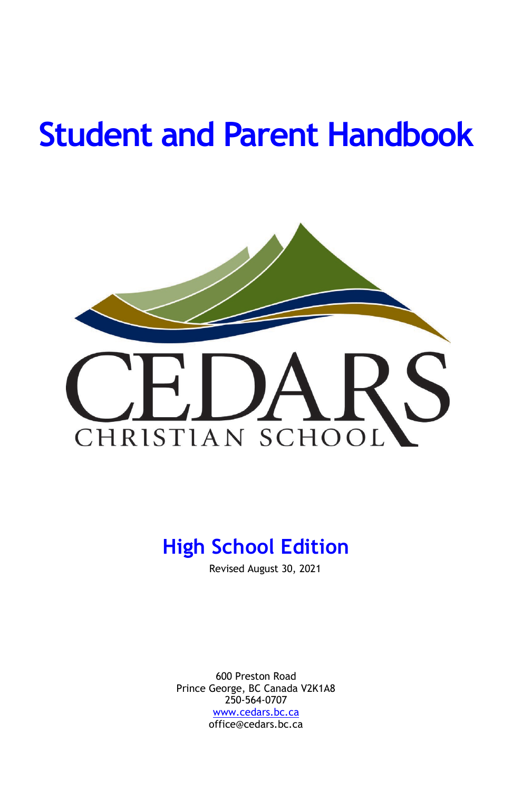# **Student and Parent Handbook**



# **High School Edition**

Revised August 30, 2021

600 Preston Road Prince George, BC Canada V2K1A8 250-564-0707 [www.cedars.bc.ca](http://www.cedars.bc.ca/) office@cedars.bc.ca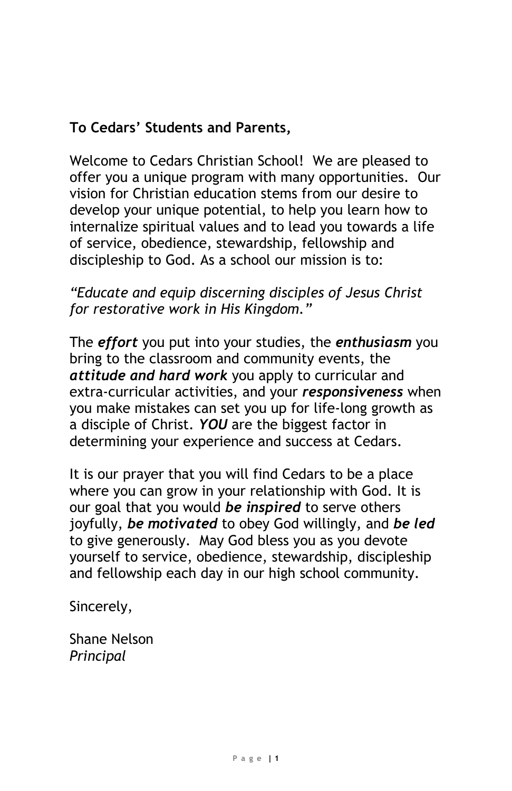### **To Cedars' Students and Parents,**

Welcome to Cedars Christian School! We are pleased to offer you a unique program with many opportunities. Our vision for Christian education stems from our desire to develop your unique potential, to help you learn how to internalize spiritual values and to lead you towards a life of service, obedience, stewardship, fellowship and discipleship to God. As a school our mission is to:

### *"Educate and equip discerning disciples of Jesus Christ for restorative work in His Kingdom."*

The *effort* you put into your studies, the *enthusiasm* you bring to the classroom and community events, the *attitude and hard work* you apply to curricular and extra-curricular activities, and your *responsiveness* when you make mistakes can set you up for life-long growth as a disciple of Christ. *YOU* are the biggest factor in determining your experience and success at Cedars.

It is our prayer that you will find Cedars to be a place where you can grow in your relationship with God. It is our goal that you would *be inspired* to serve others joyfully, *be motivated* to obey God willingly, and *be led* to give generously. May God bless you as you devote yourself to service, obedience, stewardship, discipleship and fellowship each day in our high school community.

Sincerely,

Shane Nelson *Principal*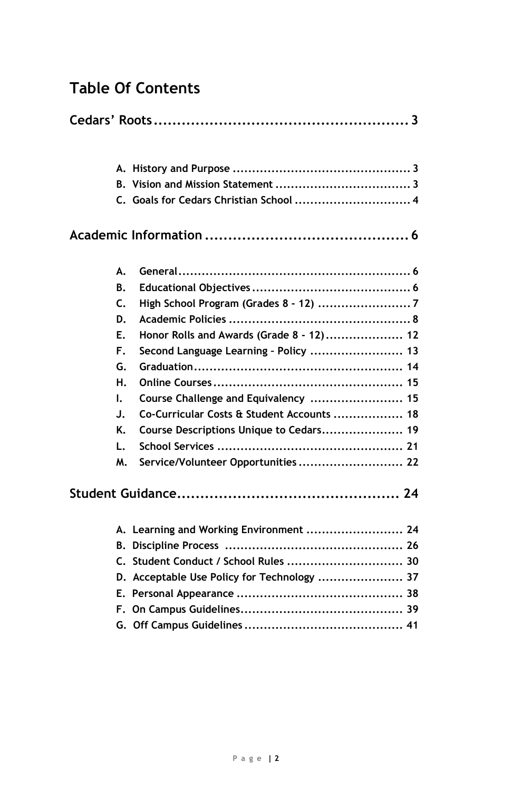### **Table Of Contents**

|    | C. Goals for Cedars Christian School  4     |  |
|----|---------------------------------------------|--|
|    |                                             |  |
| А. |                                             |  |
| В. |                                             |  |
| C. |                                             |  |
| D. |                                             |  |
| Е. | Honor Rolls and Awards (Grade 8 - 12) 12    |  |
| F. | Second Language Learning - Policy  13       |  |
| G. |                                             |  |
| н. |                                             |  |
| ı. | Course Challenge and Equivalency  15        |  |
| J. | Co-Curricular Costs & Student Accounts  18  |  |
| K. | Course Descriptions Unique to Cedars 19     |  |
| L. |                                             |  |
| м. | Service/Volunteer Opportunities 22          |  |
|    |                                             |  |
|    | A. Learning and Working Environment  24     |  |
|    |                                             |  |
|    | C. Student Conduct / School Rules  30       |  |
|    | D. Acceptable Use Policy for Technology  37 |  |
|    |                                             |  |
|    |                                             |  |
|    |                                             |  |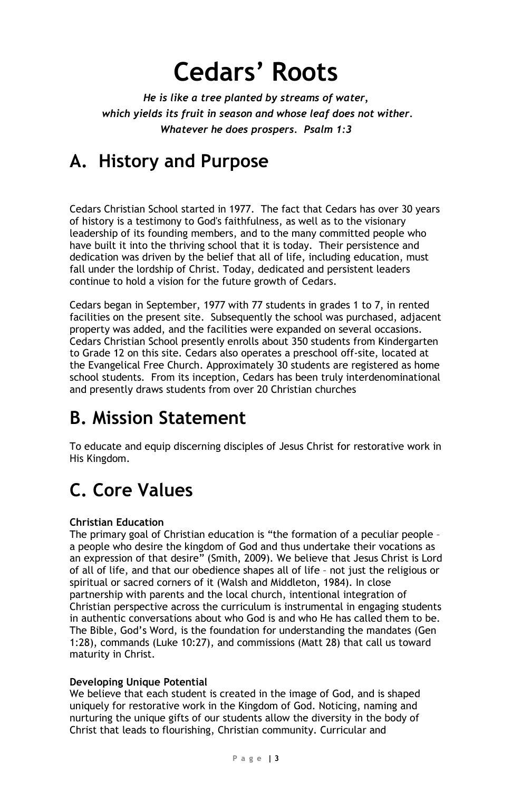# **Cedars' Roots**

*He is like a tree planted by streams of water, which yields its fruit in season and whose leaf does not wither. Whatever he does prospers. Psalm 1:3*

# **A. History and Purpose**

Cedars Christian School started in 1977. The fact that Cedars has over 30 years of history is a testimony to God's faithfulness, as well as to the visionary leadership of its founding members, and to the many committed people who have built it into the thriving school that it is today. Their persistence and dedication was driven by the belief that all of life, including education, must fall under the lordship of Christ. Today, dedicated and persistent leaders continue to hold a vision for the future growth of Cedars.

Cedars began in September, 1977 with 77 students in grades 1 to 7, in rented facilities on the present site. Subsequently the school was purchased, adjacent property was added, and the facilities were expanded on several occasions. Cedars Christian School presently enrolls about 350 students from Kindergarten to Grade 12 on this site. Cedars also operates a preschool off-site, located at the Evangelical Free Church. Approximately 30 students are registered as home school students. From its inception, Cedars has been truly interdenominational and presently draws students from over 20 Christian churches

# **B. Mission Statement**

To educate and equip discerning disciples of Jesus Christ for restorative work in His Kingdom.

# **C. Core Values**

#### **Christian Education**

The primary goal of Christian education is "the formation of a peculiar people – a people who desire the kingdom of God and thus undertake their vocations as an expression of that desire" (Smith, 2009). We believe that Jesus Christ is Lord of all of life, and that our obedience shapes all of life – not just the religious or spiritual or sacred corners of it (Walsh and Middleton, 1984). In close partnership with parents and the local church, intentional integration of Christian perspective across the curriculum is instrumental in engaging students in authentic conversations about who God is and who He has called them to be. The Bible, God's Word, is the foundation for understanding the mandates (Gen 1:28), commands (Luke 10:27), and commissions (Matt 28) that call us toward maturity in Christ.

#### **Developing Unique Potential**

We believe that each student is created in the image of God, and is shaped uniquely for restorative work in the Kingdom of God. Noticing, naming and nurturing the unique gifts of our students allow the diversity in the body of Christ that leads to flourishing, Christian community. Curricular and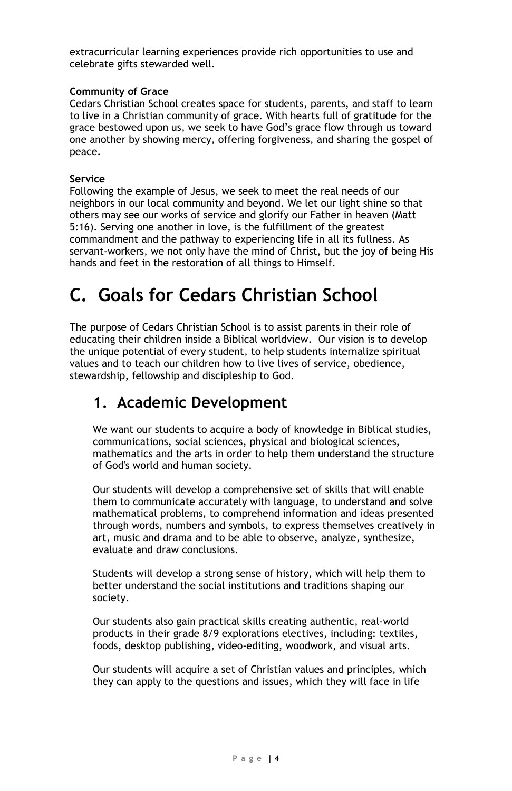extracurricular learning experiences provide rich opportunities to use and celebrate gifts stewarded well.

#### **Community of Grace**

Cedars Christian School creates space for students, parents, and staff to learn to live in a Christian community of grace. With hearts full of gratitude for the grace bestowed upon us, we seek to have God's grace flow through us toward one another by showing mercy, offering forgiveness, and sharing the gospel of peace.

#### **Service**

Following the example of Jesus, we seek to meet the real needs of our neighbors in our local community and beyond. We let our light shine so that others may see our works of service and glorify our Father in heaven (Matt 5:16). Serving one another in love, is the fulfillment of the greatest commandment and the pathway to experiencing life in all its fullness. As servant-workers, we not only have the mind of Christ, but the joy of being His hands and feet in the restoration of all things to Himself.

# **C. Goals for Cedars Christian School**

The purpose of Cedars Christian School is to assist parents in their role of educating their children inside a Biblical worldview. Our vision is to develop the unique potential of every student, to help students internalize spiritual values and to teach our children how to live lives of service, obedience, stewardship, fellowship and discipleship to God.

### **1. Academic Development**

We want our students to acquire a body of knowledge in Biblical studies, communications, social sciences, physical and biological sciences, mathematics and the arts in order to help them understand the structure of God's world and human society.

Our students will develop a comprehensive set of skills that will enable them to communicate accurately with language, to understand and solve mathematical problems, to comprehend information and ideas presented through words, numbers and symbols, to express themselves creatively in art, music and drama and to be able to observe, analyze, synthesize, evaluate and draw conclusions.

Students will develop a strong sense of history, which will help them to better understand the social institutions and traditions shaping our society.

Our students also gain practical skills creating authentic, real-world products in their grade 8/9 explorations electives, including: textiles, foods, desktop publishing, video-editing, woodwork, and visual arts.

Our students will acquire a set of Christian values and principles, which they can apply to the questions and issues, which they will face in life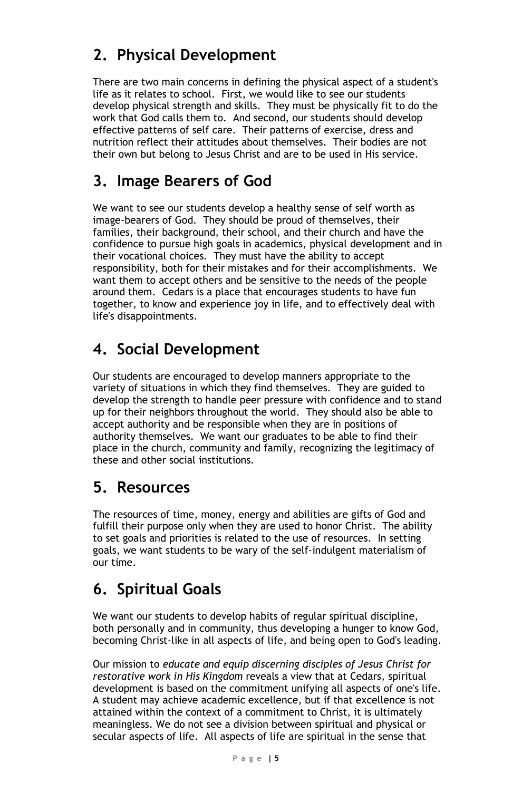## **2. Physical Development**

There are two main concerns in defining the physical aspect of a student's life as it relates to school. First, we would like to see our students develop physical strength and skills. They must be physically fit to do the work that God calls them to. And second, our students should develop effective patterns of self care. Their patterns of exercise, dress and nutrition reflect their attitudes about themselves. Their bodies are not their own but belong to Jesus Christ and are to be used in His service.

### **3. Image Bearers of God**

We want to see our students develop a healthy sense of self worth as image-bearers of God. They should be proud of themselves, their families, their background, their school, and their church and have the confidence to pursue high goals in academics, physical development and in their vocational choices. They must have the ability to accept responsibility, both for their mistakes and for their accomplishments. We want them to accept others and be sensitive to the needs of the people around them. Cedars is a place that encourages students to have fun together, to know and experience joy in life, and to effectively deal with life's disappointments.

### **4. Social Development**

Our students are encouraged to develop manners appropriate to the variety of situations in which they find themselves. They are guided to develop the strength to handle peer pressure with confidence and to stand up for their neighbors throughout the world. They should also be able to accept authority and be responsible when they are in positions of authority themselves. We want our graduates to be able to find their place in the church, community and family, recognizing the legitimacy of these and other social institutions.

### **5. Resources**

The resources of time, money, energy and abilities are gifts of God and fulfill their purpose only when they are used to honor Christ. The ability to set goals and priorities is related to the use of resources. In setting goals, we want students to be wary of the self-indulgent materialism of our time.

### **6. Spiritual Goals**

We want our students to develop habits of regular spiritual discipline, both personally and in community, thus developing a hunger to know God, becoming Christ-like in all aspects of life, and being open to God's leading.

Our mission to *educate and equip discerning disciples of Jesus Christ for restorative work in His Kingdom* reveals a view that at Cedars, spiritual development is based on the commitment unifying all aspects of one's life. A student may achieve academic excellence, but if that excellence is not attained within the context of a commitment to Christ, it is ultimately meaningless. We do not see a division between spiritual and physical or secular aspects of life. All aspects of life are spiritual in the sense that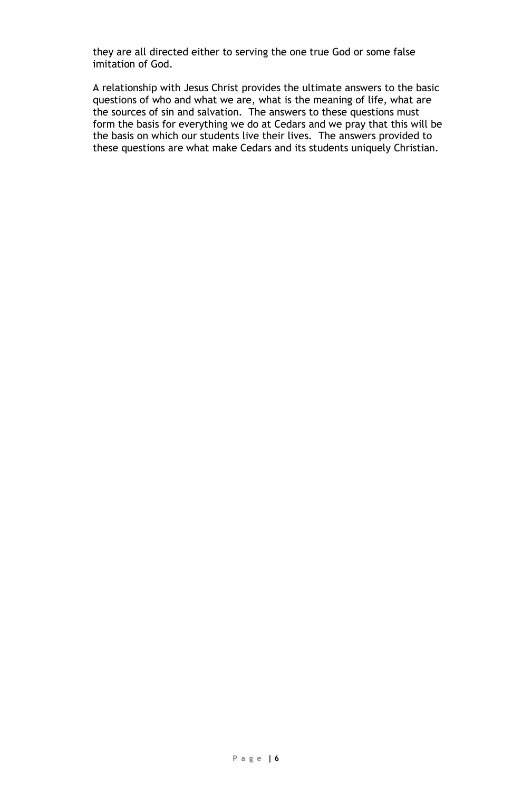they are all directed either to serving the one true God or some false imitation of God.

A relationship with Jesus Christ provides the ultimate answers to the basic questions of who and what we are, what is the meaning of life, what are the sources of sin and salvation. The answers to these questions must form the basis for everything we do at Cedars and we pray that this will be the basis on which our students live their lives. The answers provided to these questions are what make Cedars and its students uniquely Christian.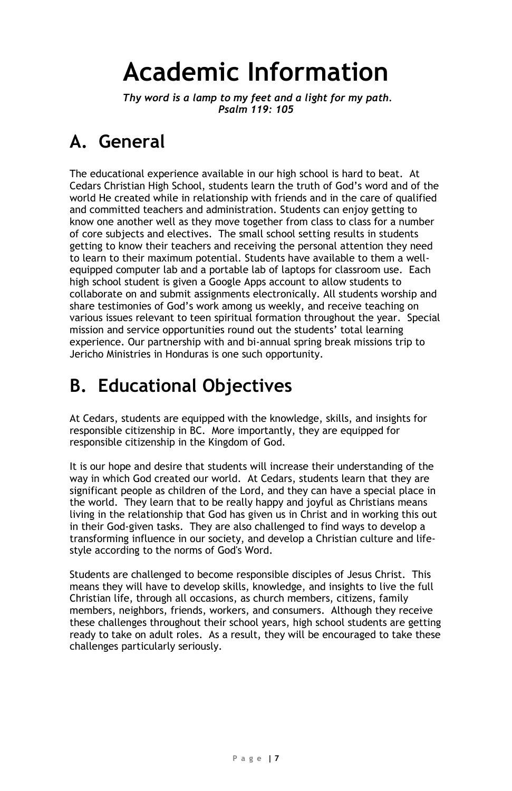# **Academic Information**

*Thy word is a lamp to my feet and a light for my path. Psalm 119: 105*

# **A. General**

The educational experience available in our high school is hard to beat. At Cedars Christian High School, students learn the truth of God's word and of the world He created while in relationship with friends and in the care of qualified and committed teachers and administration. Students can enjoy getting to know one another well as they move together from class to class for a number of core subjects and electives. The small school setting results in students getting to know their teachers and receiving the personal attention they need to learn to their maximum potential. Students have available to them a wellequipped computer lab and a portable lab of laptops for classroom use. Each high school student is given a Google Apps account to allow students to collaborate on and submit assignments electronically. All students worship and share testimonies of God's work among us weekly, and receive teaching on various issues relevant to teen spiritual formation throughout the year. Special mission and service opportunities round out the students' total learning experience. Our partnership with and bi-annual spring break missions trip to Jericho Ministries in Honduras is one such opportunity.

# **B. Educational Objectives**

At Cedars, students are equipped with the knowledge, skills, and insights for responsible citizenship in BC. More importantly, they are equipped for responsible citizenship in the Kingdom of God.

It is our hope and desire that students will increase their understanding of the way in which God created our world. At Cedars, students learn that they are significant people as children of the Lord, and they can have a special place in the world. They learn that to be really happy and joyful as Christians means living in the relationship that God has given us in Christ and in working this out in their God-given tasks. They are also challenged to find ways to develop a transforming influence in our society, and develop a Christian culture and lifestyle according to the norms of God's Word.

Students are challenged to become responsible disciples of Jesus Christ. This means they will have to develop skills, knowledge, and insights to live the full Christian life, through all occasions, as church members, citizens, family members, neighbors, friends, workers, and consumers. Although they receive these challenges throughout their school years, high school students are getting ready to take on adult roles. As a result, they will be encouraged to take these challenges particularly seriously.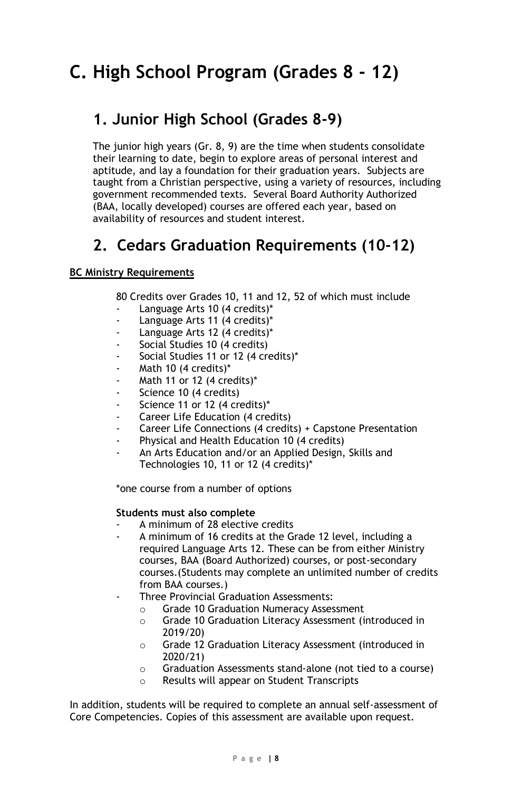# **C. High School Program (Grades 8 - 12)**

### **1. Junior High School (Grades 8-9)**

The junior high years (Gr. 8, 9) are the time when students consolidate their learning to date, begin to explore areas of personal interest and aptitude, and lay a foundation for their graduation years. Subjects are taught from a Christian perspective, using a variety of resources, including government recommended texts. Several Board Authority Authorized (BAA, locally developed) courses are offered each year, based on availability of resources and student interest.

### **2. Cedars Graduation Requirements (10-12)**

#### **BC Ministry Requirements**

80 Credits over Grades 10, 11 and 12, 52 of which must include

- Language Arts 10 (4 credits)\*
- Language Arts 11 (4 credits)\*
- Language Arts 12 (4 credits)\*
- Social Studies 10 (4 credits)
- Social Studies 11 or 12 (4 credits)\*
- Math 10 (4 credits)\*
- Math 11 or 12 (4 credits)\*
- Science 10 (4 credits)
- Science 11 or 12 (4 credits)\*
- Career Life Education (4 credits)
- Career Life Connections (4 credits) + Capstone Presentation
- Physical and Health Education 10 (4 credits)
- An Arts Education and/or an Applied Design, Skills and Technologies 10, 11 or 12 (4 credits)\*

\*one course from a number of options

#### **Students must also complete**

- A minimum of 28 elective credits
- A minimum of 16 credits at the Grade 12 level, including a required Language Arts 12. These can be from either Ministry courses, BAA (Board Authorized) courses, or post-secondary courses.(Students may complete an unlimited number of credits from BAA courses.)
- Three Provincial Graduation Assessments:
	- o Grade 10 Graduation Numeracy Assessment
	- o Grade 10 Graduation Literacy Assessment (introduced in 2019/20)
	- o Grade 12 Graduation Literacy Assessment (introduced in 2020/21)
	- o Graduation Assessments stand-alone (not tied to a course)
	- o Results will appear on Student Transcripts

In addition, students will be required to complete an annual self-assessment of Core Competencies. Copies of this assessment are available upon request.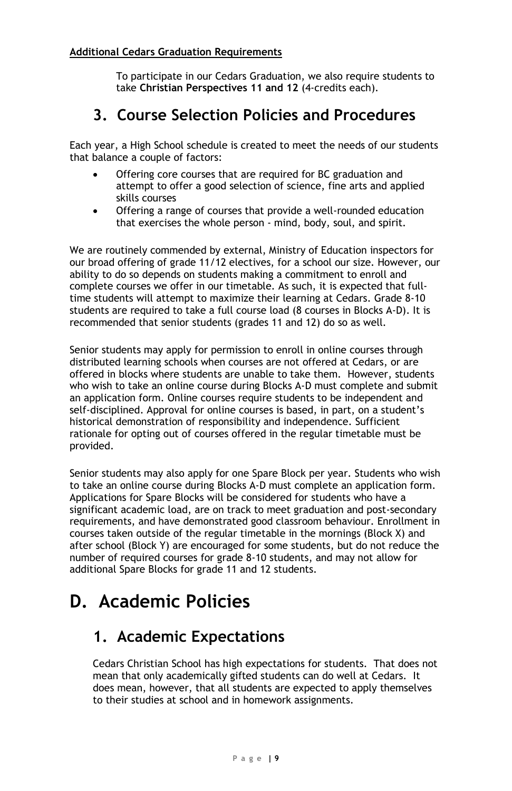#### **Additional Cedars Graduation Requirements**

To participate in our Cedars Graduation, we also require students to take **Christian Perspectives 11 and 12** (4-credits each).

### **3. Course Selection Policies and Procedures**

Each year, a High School schedule is created to meet the needs of our students that balance a couple of factors:

- Offering core courses that are required for BC graduation and attempt to offer a good selection of science, fine arts and applied skills courses
- Offering a range of courses that provide a well-rounded education that exercises the whole person - mind, body, soul, and spirit.

We are routinely commended by external, Ministry of Education inspectors for our broad offering of grade 11/12 electives, for a school our size. However, our ability to do so depends on students making a commitment to enroll and complete courses we offer in our timetable. As such, it is expected that fulltime students will attempt to maximize their learning at Cedars. Grade 8-10 students are required to take a full course load (8 courses in Blocks A-D). It is recommended that senior students (grades 11 and 12) do so as well.

Senior students may apply for permission to enroll in online courses through distributed learning schools when courses are not offered at Cedars, or are offered in blocks where students are unable to take them. However, students who wish to take an online course during Blocks A-D must complete and submit an application form. Online courses require students to be independent and self-disciplined. Approval for online courses is based, in part, on a student's historical demonstration of responsibility and independence. Sufficient rationale for opting out of courses offered in the regular timetable must be provided.

Senior students may also apply for one Spare Block per year. Students who wish to take an online course during Blocks A-D must complete an application form. Applications for Spare Blocks will be considered for students who have a significant academic load, are on track to meet graduation and post-secondary requirements, and have demonstrated good classroom behaviour. Enrollment in courses taken outside of the regular timetable in the mornings (Block X) and after school (Block Y) are encouraged for some students, but do not reduce the number of required courses for grade 8-10 students, and may not allow for additional Spare Blocks for grade 11 and 12 students.

# **D. Academic Policies**

### **1. Academic Expectations**

Cedars Christian School has high expectations for students. That does not mean that only academically gifted students can do well at Cedars. It does mean, however, that all students are expected to apply themselves to their studies at school and in homework assignments.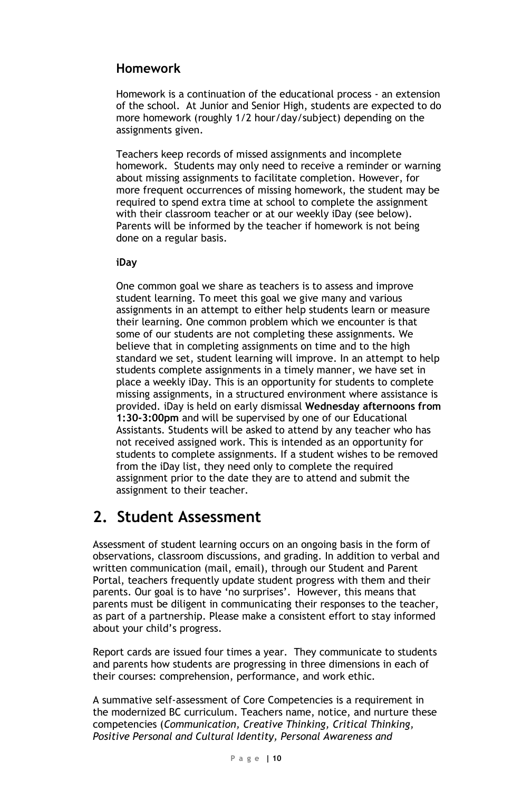### **Homework**

Homework is a continuation of the educational process - an extension of the school. At Junior and Senior High, students are expected to do more homework (roughly 1/2 hour/day/subject) depending on the assignments given.

Teachers keep records of missed assignments and incomplete homework. Students may only need to receive a reminder or warning about missing assignments to facilitate completion. However, for more frequent occurrences of missing homework, the student may be required to spend extra time at school to complete the assignment with their classroom teacher or at our weekly iDay (see below). Parents will be informed by the teacher if homework is not being done on a regular basis.

#### **iDay**

One common goal we share as teachers is to assess and improve student learning. To meet this goal we give many and various assignments in an attempt to either help students learn or measure their learning. One common problem which we encounter is that some of our students are not completing these assignments. We believe that in completing assignments on time and to the high standard we set, student learning will improve. In an attempt to help students complete assignments in a timely manner, we have set in place a weekly iDay. This is an opportunity for students to complete missing assignments, in a structured environment where assistance is provided. iDay is held on early dismissal **Wednesday afternoons from 1:30-3:00pm** and will be supervised by one of our Educational Assistants. Students will be asked to attend by any teacher who has not received assigned work. This is intended as an opportunity for students to complete assignments. If a student wishes to be removed from the iDay list, they need only to complete the required assignment prior to the date they are to attend and submit the assignment to their teacher.

### **2. Student Assessment**

Assessment of student learning occurs on an ongoing basis in the form of observations, classroom discussions, and grading. In addition to verbal and written communication (mail, email), through our Student and Parent Portal, teachers frequently update student progress with them and their parents. Our goal is to have 'no surprises'. However, this means that parents must be diligent in communicating their responses to the teacher, as part of a partnership. Please make a consistent effort to stay informed about your child's progress.

Report cards are issued four times a year. They communicate to students and parents how students are progressing in three dimensions in each of their courses: comprehension, performance, and work ethic.

A summative self-assessment of Core Competencies is a requirement in the modernized BC curriculum. Teachers name, notice, and nurture these competencies (*Communication, Creative Thinking, Critical Thinking, Positive Personal and Cultural Identity, Personal Awareness and*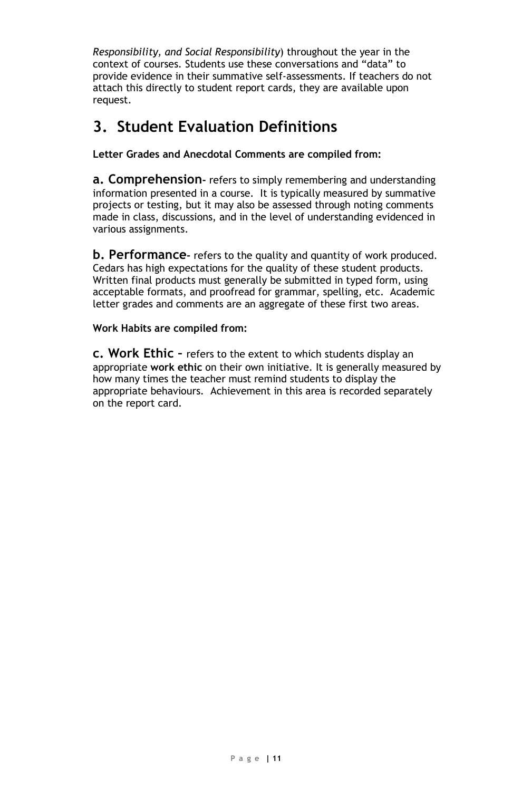*Responsibility, and Social Responsibility*) throughout the year in the context of courses. Students use these conversations and "data" to provide evidence in their summative self-assessments. If teachers do not attach this directly to student report cards, they are available upon request.

### **3. Student Evaluation Definitions**

**Letter Grades and Anecdotal Comments are compiled from:**

**a. Comprehension-** refers to simply remembering and understanding information presented in a course. It is typically measured by summative projects or testing, but it may also be assessed through noting comments made in class, discussions, and in the level of understanding evidenced in various assignments.

**b. Performance-** refers to the quality and quantity of work produced. Cedars has high expectations for the quality of these student products. Written final products must generally be submitted in typed form, using acceptable formats, and proofread for grammar, spelling, etc. Academic letter grades and comments are an aggregate of these first two areas.

**Work Habits are compiled from:**

**c. Work Ethic –** refers to the extent to which students display an appropriate **work ethic** on their own initiative. It is generally measured by how many times the teacher must remind students to display the appropriate behaviours. Achievement in this area is recorded separately on the report card.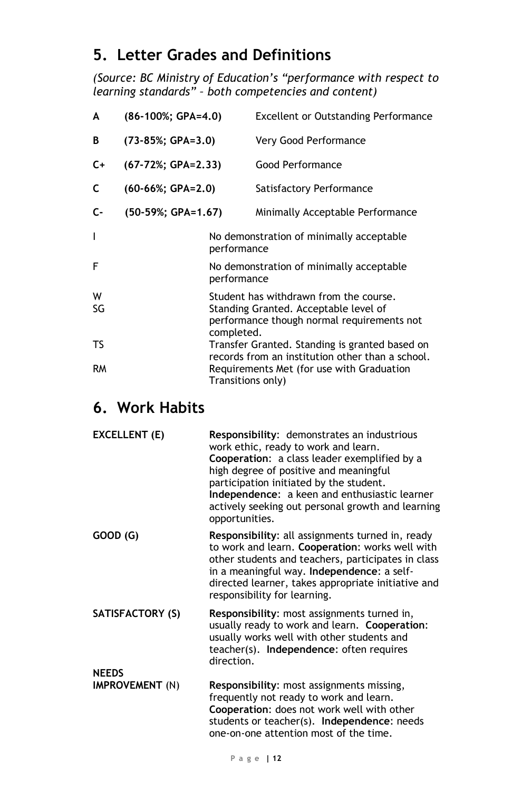### **5. Letter Grades and Definitions**

*(Source: BC Ministry of Education's "performance with respect to learning standards" – both competencies and content)*

| A         | $(86-100\%; GPA=4.0)$ |                   | <b>Excellent or Outstanding Performance</b>                                                                                   |
|-----------|-----------------------|-------------------|-------------------------------------------------------------------------------------------------------------------------------|
| В         | $(73-85%; GPA=3.0)$   |                   | Very Good Performance                                                                                                         |
| $C+$      | (67-72%; GPA=2.33)    |                   | Good Performance                                                                                                              |
| C         | $(60-66\%; GPA=2.0)$  |                   | Satisfactory Performance                                                                                                      |
| $C-$      | (50-59%; GPA=1.67)    |                   | Minimally Acceptable Performance                                                                                              |
| I         |                       | performance       | No demonstration of minimally acceptable                                                                                      |
| F         |                       | performance       | No demonstration of minimally acceptable                                                                                      |
| W<br>SG   |                       | completed.        | Student has withdrawn from the course.<br>Standing Granted. Acceptable level of<br>performance though normal requirements not |
| TS        |                       |                   | Transfer Granted. Standing is granted based on<br>records from an institution other than a school.                            |
| <b>RM</b> |                       | Transitions only) | Requirements Met (for use with Graduation                                                                                     |

### **6. Work Habits**

| EXCELLENT (E)    | Responsibility: demonstrates an industrious<br>work ethic, ready to work and learn.<br><b>Cooperation:</b> a class leader exemplified by a<br>high degree of positive and meaningful<br>participation initiated by the student.<br>Independence: a keen and enthusiastic learner<br>actively seeking out personal growth and learning<br>opportunities. |
|------------------|---------------------------------------------------------------------------------------------------------------------------------------------------------------------------------------------------------------------------------------------------------------------------------------------------------------------------------------------------------|
| GOOD (G)         | <b>Responsibility:</b> all assignments turned in, ready<br>to work and learn. Cooperation: works well with<br>other students and teachers, participates in class<br>in a meaningful way. Independence: a self-<br>directed learner, takes appropriate initiative and<br>responsibility for learning.                                                    |
| SATISFACTORY (S) | Responsibility: most assignments turned in,<br>usually ready to work and learn. Cooperation:<br>usually works well with other students and<br>teacher(s). Independence: often requires<br>direction.                                                                                                                                                    |
| <b>NEEDS</b>     |                                                                                                                                                                                                                                                                                                                                                         |
| IMPROVEMENT (N)  | Responsibility: most assignments missing,<br>frequently not ready to work and learn.<br>Cooperation: does not work well with other<br>students or teacher(s). Independence: needs<br>one-on-one attention most of the time.                                                                                                                             |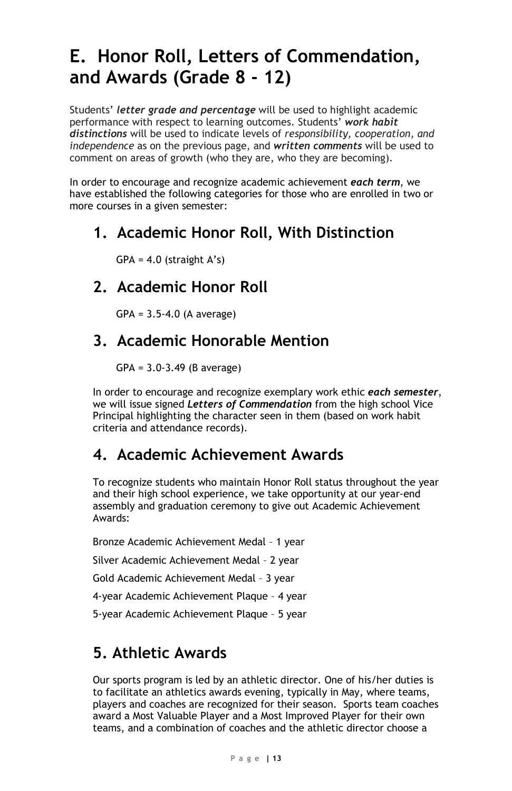# **E. Honor Roll, Letters of Commendation, and Awards (Grade 8 - 12)**

Students' *letter grade and percentage* will be used to highlight academic performance with respect to learning outcomes. Students' *work habit distinctions* will be used to indicate levels of *responsibility, cooperation, and independence* as on the previous page, and *written comments* will be used to comment on areas of growth (who they are, who they are becoming).

In order to encourage and recognize academic achievement *each term*, we have established the following categories for those who are enrolled in two or more courses in a given semester:

### **1. Academic Honor Roll, With Distinction**

 $GPA = 4.0$  (straight A's)

### **2. Academic Honor Roll**

GPA = 3.5-4.0 (A average)

### **3. Academic Honorable Mention**

GPA = 3.0-3.49 (B average)

In order to encourage and recognize exemplary work ethic *each semester*, we will issue signed *Letters of Commendation* from the high school Vice Principal highlighting the character seen in them (based on work habit criteria and attendance records).

### **4. Academic Achievement Awards**

To recognize students who maintain Honor Roll status throughout the year and their high school experience, we take opportunity at our year-end assembly and graduation ceremony to give out Academic Achievement Awards:

Bronze Academic Achievement Medal – 1 year Silver Academic Achievement Medal – 2 year Gold Academic Achievement Medal – 3 year 4-year Academic Achievement Plaque – 4 year 5-year Academic Achievement Plaque – 5 year

### **5. Athletic Awards**

Our sports program is led by an athletic director. One of his/her duties is to facilitate an athletics awards evening, typically in May, where teams, players and coaches are recognized for their season. Sports team coaches award a Most Valuable Player and a Most Improved Player for their own teams, and a combination of coaches and the athletic director choose a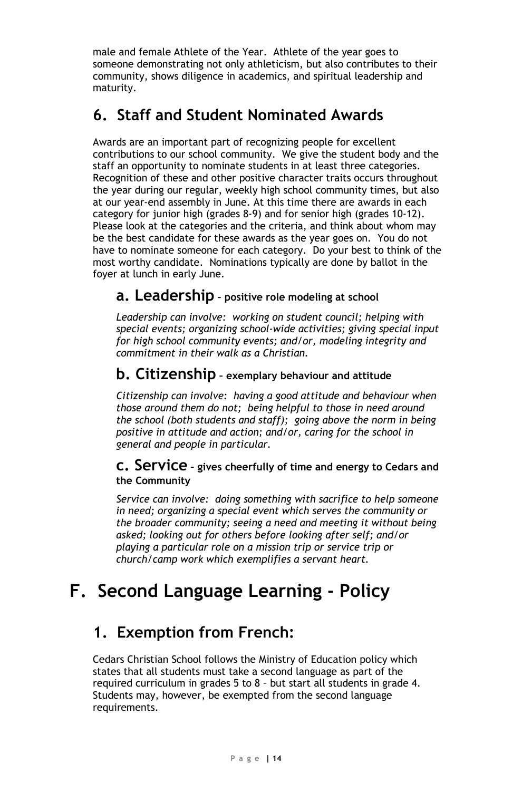male and female Athlete of the Year. Athlete of the year goes to someone demonstrating not only athleticism, but also contributes to their community, shows diligence in academics, and spiritual leadership and maturity.

### **6. Staff and Student Nominated Awards**

Awards are an important part of recognizing people for excellent contributions to our school community. We give the student body and the staff an opportunity to nominate students in at least three categories. Recognition of these and other positive character traits occurs throughout the year during our regular, weekly high school community times, but also at our year-end assembly in June. At this time there are awards in each category for junior high (grades 8-9) and for senior high (grades 10-12). Please look at the categories and the criteria, and think about whom may be the best candidate for these awards as the year goes on. You do not have to nominate someone for each category. Do your best to think of the most worthy candidate. Nominations typically are done by ballot in the foyer at lunch in early June.

### **a. Leadership – positive role modeling at school**

*Leadership can involve: working on student council; helping with special events; organizing school-wide activities; giving special input for high school community events; and/or, modeling integrity and commitment in their walk as a Christian.*

### **b. Citizenship – exemplary behaviour and attitude**

*Citizenship can involve: having a good attitude and behaviour when those around them do not; being helpful to those in need around the school (both students and staff); going above the norm in being positive in attitude and action; and/or, caring for the school in general and people in particular.*

#### **c. Service – gives cheerfully of time and energy to Cedars and the Community**

*Service can involve: doing something with sacrifice to help someone in need; organizing a special event which serves the community or the broader community; seeing a need and meeting it without being asked; looking out for others before looking after self; and/or playing a particular role on a mission trip or service trip or church/camp work which exemplifies a servant heart.*

# **F. Second Language Learning - Policy**

### **1. Exemption from French:**

Cedars Christian School follows the Ministry of Education policy which states that all students must take a second language as part of the required curriculum in grades 5 to 8 – but start all students in grade 4. Students may, however, be exempted from the second language requirements.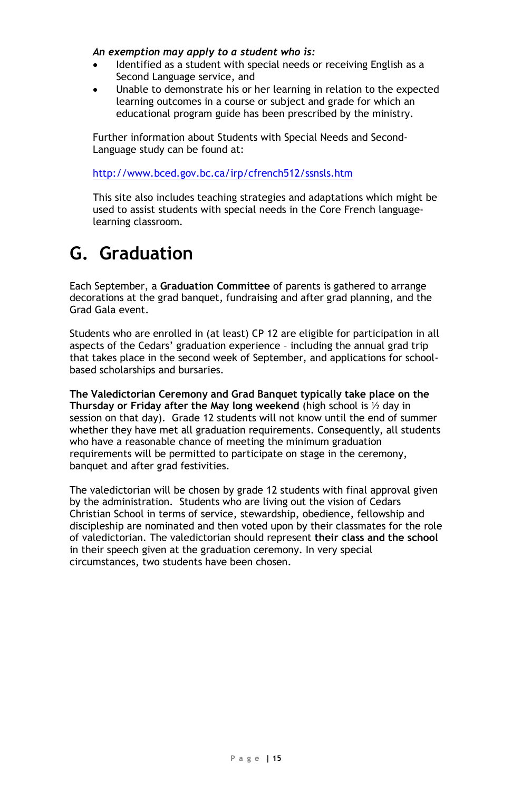#### *An exemption may apply to a student who is:*

- Identified as a student with special needs or receiving English as a Second Language service, and
- Unable to demonstrate his or her learning in relation to the expected learning outcomes in a course or subject and grade for which an educational program guide has been prescribed by the ministry.

Further information about Students with Special Needs and Second-Language study can be found at:

<http://www.bced.gov.bc.ca/irp/cfrench512/ssnsls.htm>

This site also includes teaching strategies and adaptations which might be used to assist students with special needs in the Core French languagelearning classroom.

# **G. Graduation**

Each September, a **Graduation Committee** of parents is gathered to arrange decorations at the grad banquet, fundraising and after grad planning, and the Grad Gala event.

Students who are enrolled in (at least) CP 12 are eligible for participation in all aspects of the Cedars' graduation experience – including the annual grad trip that takes place in the second week of September, and applications for schoolbased scholarships and bursaries.

**The Valedictorian Ceremony and Grad Banquet typically take place on the Thursday or Friday after the May long weekend** (high school is ½ day in session on that day). Grade 12 students will not know until the end of summer whether they have met all graduation requirements. Consequently, all students who have a reasonable chance of meeting the minimum graduation requirements will be permitted to participate on stage in the ceremony, banquet and after grad festivities.

The valedictorian will be chosen by grade 12 students with final approval given by the administration. Students who are living out the vision of Cedars Christian School in terms of service, stewardship, obedience, fellowship and discipleship are nominated and then voted upon by their classmates for the role of valedictorian. The valedictorian should represent **their class and the school** in their speech given at the graduation ceremony. In very special circumstances, two students have been chosen.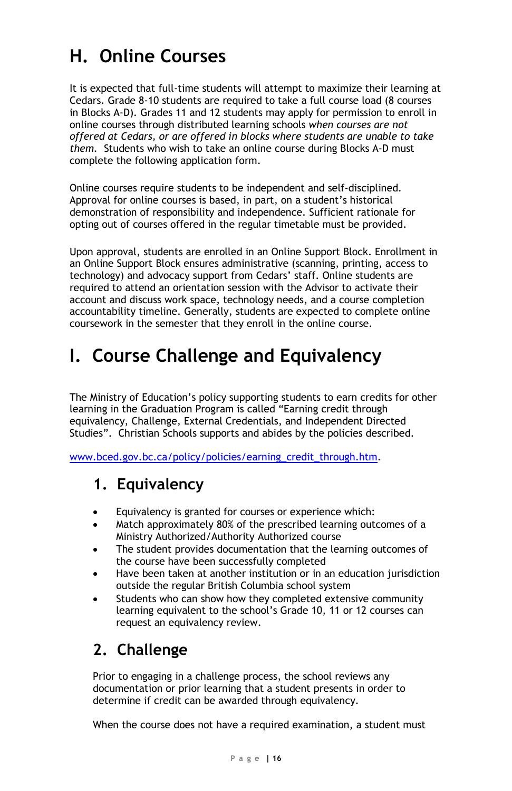# **H. Online Courses**

It is expected that full-time students will attempt to maximize their learning at Cedars. Grade 8-10 students are required to take a full course load (8 courses in Blocks A-D). Grades 11 and 12 students may apply for permission to enroll in online courses through distributed learning schools *when courses are not offered at Cedars, or are offered in blocks where students are unable to take them.* Students who wish to take an online course during Blocks A-D must complete the following application form.

Online courses require students to be independent and self-disciplined. Approval for online courses is based, in part, on a student's historical demonstration of responsibility and independence. Sufficient rationale for opting out of courses offered in the regular timetable must be provided.

Upon approval, students are enrolled in an Online Support Block. Enrollment in an Online Support Block ensures administrative (scanning, printing, access to technology) and advocacy support from Cedars' staff. Online students are required to attend an orientation session with the Advisor to activate their account and discuss work space, technology needs, and a course completion accountability timeline. Generally, students are expected to complete online coursework in the semester that they enroll in the online course.

# **I. Course Challenge and Equivalency**

The Ministry of Education's policy supporting students to earn credits for other learning in the Graduation Program is called "Earning credit through equivalency, Challenge, External Credentials, and Independent Directed Studies". Christian Schools supports and abides by the policies described.

[www.bced.gov.bc.ca/policy/policies/earning\\_credit\\_through.htm.](http://www.bced.gov.bc.ca/policy/policies/earning_credit_through.htm)

### **1. Equivalency**

- Equivalency is granted for courses or experience which:
- Match approximately 80% of the prescribed learning outcomes of a Ministry Authorized/Authority Authorized course
- The student provides documentation that the learning outcomes of the course have been successfully completed
- Have been taken at another institution or in an education jurisdiction outside the regular British Columbia school system
- Students who can show how they completed extensive community learning equivalent to the school's Grade 10, 11 or 12 courses can request an equivalency review.

## **2. Challenge**

Prior to engaging in a challenge process, the school reviews any documentation or prior learning that a student presents in order to determine if credit can be awarded through equivalency.

When the course does not have a required examination, a student must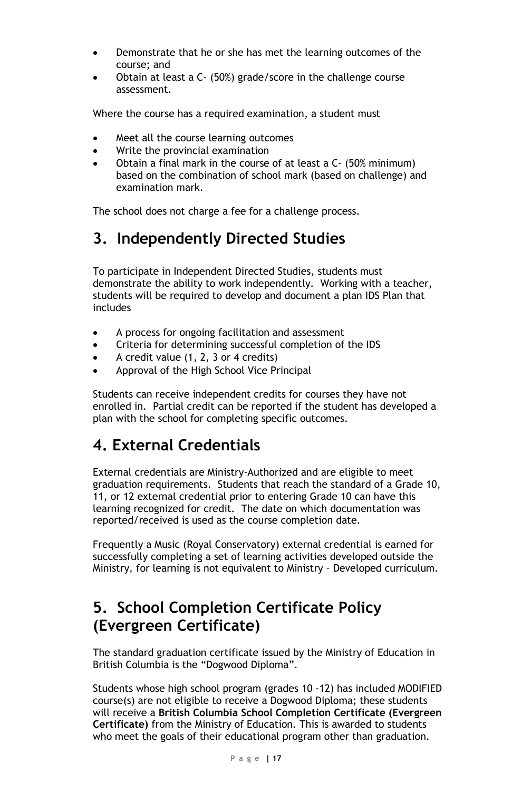- Demonstrate that he or she has met the learning outcomes of the course; and
- Obtain at least a C- (50%) grade/score in the challenge course assessment.

Where the course has a required examination, a student must

- Meet all the course learning outcomes
- Write the provincial examination
- Obtain a final mark in the course of at least a C- (50% minimum) based on the combination of school mark (based on challenge) and examination mark.

The school does not charge a fee for a challenge process.

### **3. Independently Directed Studies**

To participate in Independent Directed Studies, students must demonstrate the ability to work independently. Working with a teacher, students will be required to develop and document a plan IDS Plan that includes

- A process for ongoing facilitation and assessment
- Criteria for determining successful completion of the IDS
- A credit value (1, 2, 3 or 4 credits)
- Approval of the High School Vice Principal

Students can receive independent credits for courses they have not enrolled in. Partial credit can be reported if the student has developed a plan with the school for completing specific outcomes.

### **4. External Credentials**

External credentials are Ministry-Authorized and are eligible to meet graduation requirements. Students that reach the standard of a Grade 10, 11, or 12 external credential prior to entering Grade 10 can have this learning recognized for credit. The date on which documentation was reported/received is used as the course completion date.

Frequently a Music (Royal Conservatory) external credential is earned for successfully completing a set of learning activities developed outside the Ministry, for learning is not equivalent to Ministry – Developed curriculum.

### **5. School Completion Certificate Policy (Evergreen Certificate)**

The standard graduation certificate issued by the Ministry of Education in British Columbia is the "Dogwood Diploma".

Students whose high school program (grades 10 -12) has included MODIFIED course(s) are not eligible to receive a Dogwood Diploma; these students will receive a **British Columbia School Completion Certificate (Evergreen Certificate)** from the Ministry of Education. This is awarded to students who meet the goals of their educational program other than graduation.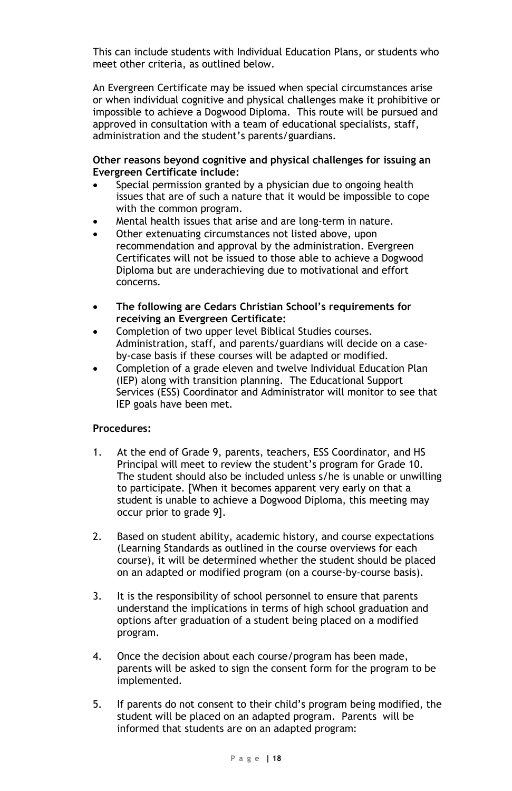This can include students with Individual Education Plans, or students who meet other criteria, as outlined below.

An Evergreen Certificate may be issued when special circumstances arise or when individual cognitive and physical challenges make it prohibitive or impossible to achieve a Dogwood Diploma. This route will be pursued and approved in consultation with a team of educational specialists, staff, administration and the student's parents/guardians.

#### **Other reasons beyond cognitive and physical challenges for issuing an Evergreen Certificate include:**

- Special permission granted by a physician due to ongoing health issues that are of such a nature that it would be impossible to cope with the common program.
- Mental health issues that arise and are long-term in nature.
- Other extenuating circumstances not listed above, upon recommendation and approval by the administration. Evergreen Certificates will not be issued to those able to achieve a Dogwood Diploma but are underachieving due to motivational and effort concerns.
- **The following are Cedars Christian School's requirements for receiving an Evergreen Certificate:**
- Completion of two upper level Biblical Studies courses. Administration, staff, and parents/guardians will decide on a caseby-case basis if these courses will be adapted or modified.
- Completion of a grade eleven and twelve Individual Education Plan (IEP) along with transition planning. The Educational Support Services (ESS) Coordinator and Administrator will monitor to see that IEP goals have been met.

#### **Procedures:**

- 1. At the end of Grade 9, parents, teachers, ESS Coordinator, and HS Principal will meet to review the student's program for Grade 10. The student should also be included unless s/he is unable or unwilling to participate. [When it becomes apparent very early on that a student is unable to achieve a Dogwood Diploma, this meeting may occur prior to grade 9].
- 2. Based on student ability, academic history, and course expectations (Learning Standards as outlined in the course overviews for each course), it will be determined whether the student should be placed on an adapted or modified program (on a course-by-course basis).
- 3. It is the responsibility of school personnel to ensure that parents understand the implications in terms of high school graduation and options after graduation of a student being placed on a modified program.
- 4. Once the decision about each course/program has been made, parents will be asked to sign the consent form for the program to be implemented.
- 5. If parents do not consent to their child's program being modified, the student will be placed on an adapted program. Parents will be informed that students are on an adapted program: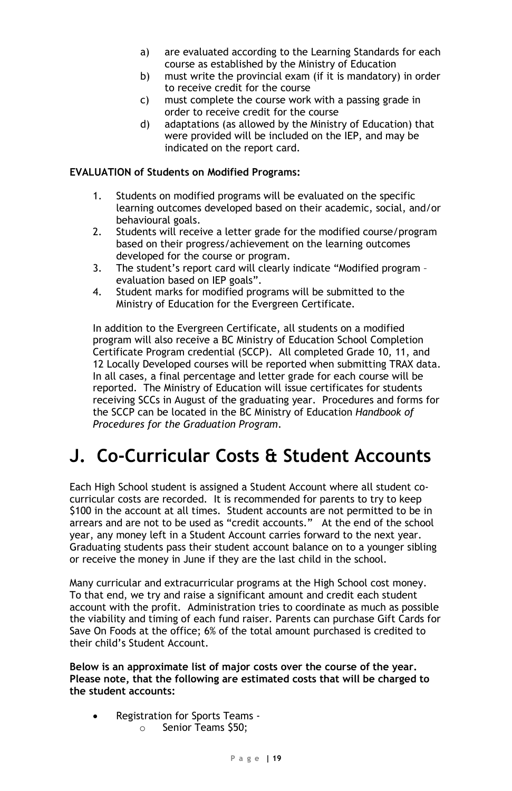- a) are evaluated according to the Learning Standards for each course as established by the Ministry of Education
- b) must write the provincial exam (if it is mandatory) in order to receive credit for the course
- c) must complete the course work with a passing grade in order to receive credit for the course
- d) adaptations (as allowed by the Ministry of Education) that were provided will be included on the IEP, and may be indicated on the report card.

#### **EVALUATION of Students on Modified Programs:**

- 1. Students on modified programs will be evaluated on the specific learning outcomes developed based on their academic, social, and/or behavioural goals.
- 2. Students will receive a letter grade for the modified course/program based on their progress/achievement on the learning outcomes developed for the course or program.
- 3. The student's report card will clearly indicate "Modified program evaluation based on IEP goals".
- 4. Student marks for modified programs will be submitted to the Ministry of Education for the Evergreen Certificate.

In addition to the Evergreen Certificate, all students on a modified program will also receive a BC Ministry of Education School Completion Certificate Program credential (SCCP). All completed Grade 10, 11, and 12 Locally Developed courses will be reported when submitting TRAX data. In all cases, a final percentage and letter grade for each course will be reported. The Ministry of Education will issue certificates for students receiving SCCs in August of the graduating year. Procedures and forms for the SCCP can be located in the BC Ministry of Education *Handbook of Procedures for the Graduation Program*.

# **J. Co-Curricular Costs & Student Accounts**

Each High School student is assigned a Student Account where all student cocurricular costs are recorded. It is recommended for parents to try to keep \$100 in the account at all times. Student accounts are not permitted to be in arrears and are not to be used as "credit accounts." At the end of the school year, any money left in a Student Account carries forward to the next year. Graduating students pass their student account balance on to a younger sibling or receive the money in June if they are the last child in the school.

Many curricular and extracurricular programs at the High School cost money. To that end, we try and raise a significant amount and credit each student account with the profit. Administration tries to coordinate as much as possible the viability and timing of each fund raiser. Parents can purchase Gift Cards for Save On Foods at the office; 6% of the total amount purchased is credited to their child's Student Account.

**Below is an approximate list of major costs over the course of the year. Please note, that the following are estimated costs that will be charged to the student accounts:**

- Registration for Sports Teams
	- o Senior Teams \$50;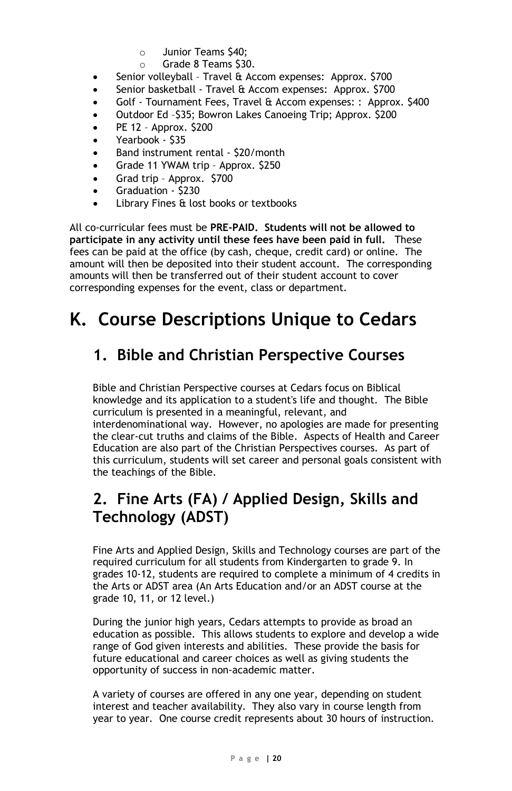- $\circ$  Junior Teams \$40;<br> $\circ$  Grade 8 Teams \$30
- Grade 8 Teams \$30.
- Senior volleyball Travel & Accom expenses: Approx. \$700
- Senior basketball Travel & Accom expenses: Approx. \$700
- Golf Tournament Fees, Travel & Accom expenses: : Approx. \$400
- Outdoor Ed –\$35; Bowron Lakes Canoeing Trip; Approx. \$200
- PE 12 Approx. \$200
- Yearbook \$35
- Band instrument rental \$20/month
- Grade 11 YWAM trip Approx. \$250
- Grad trip Approx. \$700
- Graduation \$230
- Library Fines & lost books or textbooks

All co-curricular fees must be **PRE-PAID. Students will not be allowed to participate in any activity until these fees have been paid in full.** These fees can be paid at the office (by cash, cheque, credit card) or online. The amount will then be deposited into their student account. The corresponding amounts will then be transferred out of their student account to cover corresponding expenses for the event, class or department.

# **K. Course Descriptions Unique to Cedars**

### **1. Bible and Christian Perspective Courses**

Bible and Christian Perspective courses at Cedars focus on Biblical knowledge and its application to a student's life and thought. The Bible curriculum is presented in a meaningful, relevant, and interdenominational way. However, no apologies are made for presenting the clear-cut truths and claims of the Bible. Aspects of Health and Career Education are also part of the Christian Perspectives courses. As part of this curriculum, students will set career and personal goals consistent with the teachings of the Bible.

### **2. Fine Arts (FA) / Applied Design, Skills and Technology (ADST)**

Fine Arts and Applied Design, Skills and Technology courses are part of the required curriculum for all students from Kindergarten to grade 9. In grades 10-12, students are required to complete a minimum of 4 credits in the Arts or ADST area (An Arts Education and/or an ADST course at the grade 10, 11, or 12 level.)

During the junior high years, Cedars attempts to provide as broad an education as possible. This allows students to explore and develop a wide range of God given interests and abilities. These provide the basis for future educational and career choices as well as giving students the opportunity of success in non-academic matter.

A variety of courses are offered in any one year, depending on student interest and teacher availability. They also vary in course length from year to year. One course credit represents about 30 hours of instruction.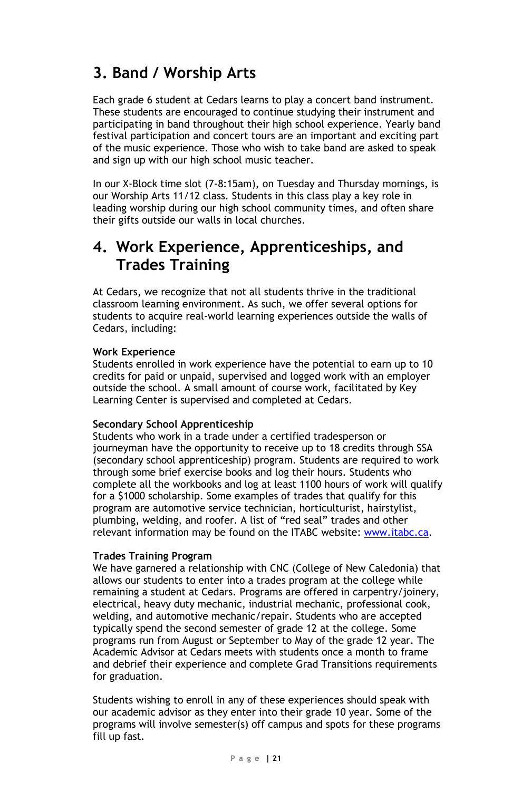### **3. Band / Worship Arts**

Each grade 6 student at Cedars learns to play a concert band instrument. These students are encouraged to continue studying their instrument and participating in band throughout their high school experience. Yearly band festival participation and concert tours are an important and exciting part of the music experience. Those who wish to take band are asked to speak and sign up with our high school music teacher.

In our X-Block time slot (7-8:15am), on Tuesday and Thursday mornings, is our Worship Arts 11/12 class. Students in this class play a key role in leading worship during our high school community times, and often share their gifts outside our walls in local churches.

### **4. Work Experience, Apprenticeships, and Trades Training**

At Cedars, we recognize that not all students thrive in the traditional classroom learning environment. As such, we offer several options for students to acquire real-world learning experiences outside the walls of Cedars, including:

#### **Work Experience**

Students enrolled in work experience have the potential to earn up to 10 credits for paid or unpaid, supervised and logged work with an employer outside the school. A small amount of course work, facilitated by Key Learning Center is supervised and completed at Cedars.

#### **Secondary School Apprenticeship**

Students who work in a trade under a certified tradesperson or journeyman have the opportunity to receive up to 18 credits through SSA (secondary school apprenticeship) program. Students are required to work through some brief exercise books and log their hours. Students who complete all the workbooks and log at least 1100 hours of work will qualify for a \$1000 scholarship. Some examples of trades that qualify for this program are automotive service technician, horticulturist, hairstylist, plumbing, welding, and roofer. A list of "red seal" trades and other relevant information may be found on the ITABC website[: www.itabc.ca.](http://www.itabc.ca/)

#### **Trades Training Program**

We have garnered a relationship with CNC (College of New Caledonia) that allows our students to enter into a trades program at the college while remaining a student at Cedars. Programs are offered in carpentry/joinery, electrical, heavy duty mechanic, industrial mechanic, professional cook, welding, and automotive mechanic/repair. Students who are accepted typically spend the second semester of grade 12 at the college. Some programs run from August or September to May of the grade 12 year. The Academic Advisor at Cedars meets with students once a month to frame and debrief their experience and complete Grad Transitions requirements for graduation.

Students wishing to enroll in any of these experiences should speak with our academic advisor as they enter into their grade 10 year. Some of the programs will involve semester(s) off campus and spots for these programs fill up fast.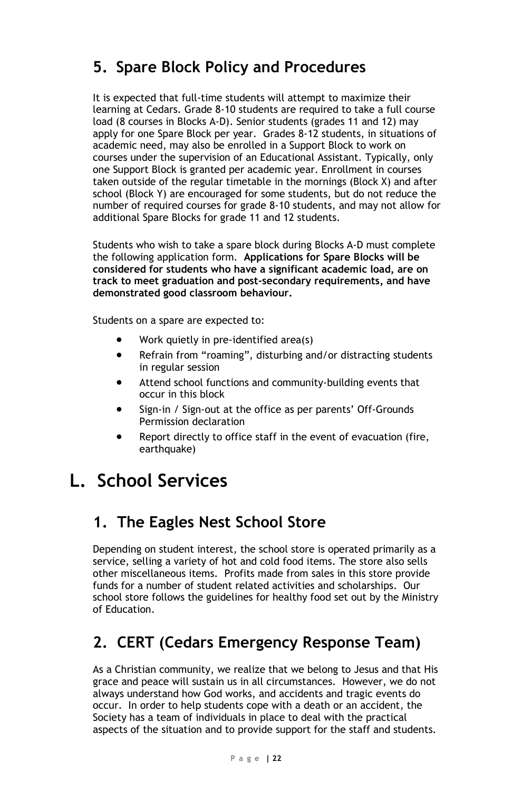### **5. Spare Block Policy and Procedures**

It is expected that full-time students will attempt to maximize their learning at Cedars. Grade 8-10 students are required to take a full course load (8 courses in Blocks A-D). Senior students (grades 11 and 12) may apply for one Spare Block per year. Grades 8-12 students, in situations of academic need, may also be enrolled in a Support Block to work on courses under the supervision of an Educational Assistant. Typically, only one Support Block is granted per academic year. Enrollment in courses taken outside of the regular timetable in the mornings (Block X) and after school (Block Y) are encouraged for some students, but do not reduce the number of required courses for grade 8-10 students, and may not allow for additional Spare Blocks for grade 11 and 12 students.

Students who wish to take a spare block during Blocks A-D must complete the following application form. **Applications for Spare Blocks will be considered for students who have a significant academic load, are on track to meet graduation and post-secondary requirements, and have demonstrated good classroom behaviour.**

Students on a spare are expected to:

- Work quietly in pre-identified area(s)
- Refrain from "roaming", disturbing and/or distracting students in regular session
- Attend school functions and community-building events that occur in this block
- Sign-in / Sign-out at the office as per parents' Off-Grounds Permission declaration
- Report directly to office staff in the event of evacuation (fire, earthquake)

# **L. School Services**

### **1. The Eagles Nest School Store**

Depending on student interest, the school store is operated primarily as a service, selling a variety of hot and cold food items. The store also sells other miscellaneous items. Profits made from sales in this store provide funds for a number of student related activities and scholarships. Our school store follows the guidelines for healthy food set out by the Ministry of Education.

## **2. CERT (Cedars Emergency Response Team)**

As a Christian community, we realize that we belong to Jesus and that His grace and peace will sustain us in all circumstances. However, we do not always understand how God works, and accidents and tragic events do occur. In order to help students cope with a death or an accident, the Society has a team of individuals in place to deal with the practical aspects of the situation and to provide support for the staff and students.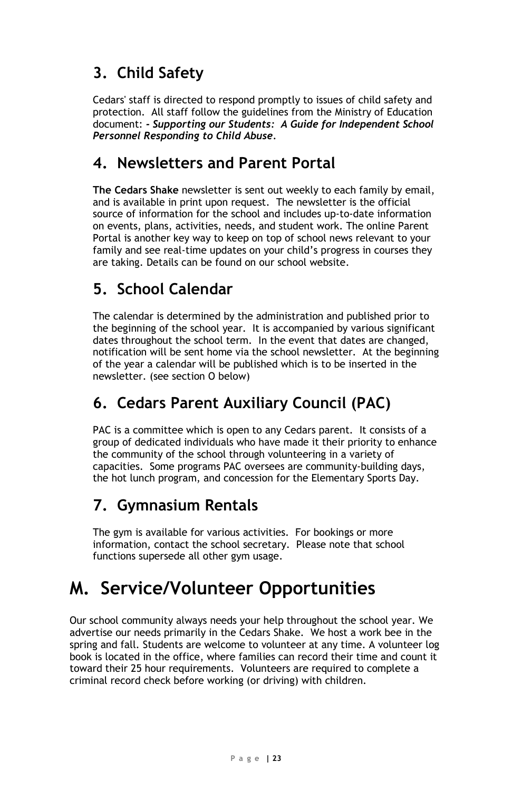# **3. Child Safety**

Cedars' staff is directed to respond promptly to issues of child safety and protection. All staff follow the guidelines from the Ministry of Education document: *- Supporting our Students: A Guide for Independent School Personnel Responding to Child Abuse.*

### **4. Newsletters and Parent Portal**

**The Cedars Shake** newsletter is sent out weekly to each family by email, and is available in print upon request. The newsletter is the official source of information for the school and includes up-to-date information on events, plans, activities, needs, and student work. The online Parent Portal is another key way to keep on top of school news relevant to your family and see real-time updates on your child's progress in courses they are taking. Details can be found on our school website.

### **5. School Calendar**

The calendar is determined by the administration and published prior to the beginning of the school year. It is accompanied by various significant dates throughout the school term. In the event that dates are changed, notification will be sent home via the school newsletter. At the beginning of the year a calendar will be published which is to be inserted in the newsletter. (see section O below)

### **6. Cedars Parent Auxiliary Council (PAC)**

PAC is a committee which is open to any Cedars parent. It consists of a group of dedicated individuals who have made it their priority to enhance the community of the school through volunteering in a variety of capacities. Some programs PAC oversees are community-building days, the hot lunch program, and concession for the Elementary Sports Day.

### **7. Gymnasium Rentals**

The gym is available for various activities. For bookings or more information, contact the school secretary. Please note that school functions supersede all other gym usage.

# **M. Service/Volunteer Opportunities**

Our school community always needs your help throughout the school year. We advertise our needs primarily in the Cedars Shake. We host a work bee in the spring and fall. Students are welcome to volunteer at any time. A volunteer log book is located in the office, where families can record their time and count it toward their 25 hour requirements. Volunteers are required to complete a criminal record check before working (or driving) with children.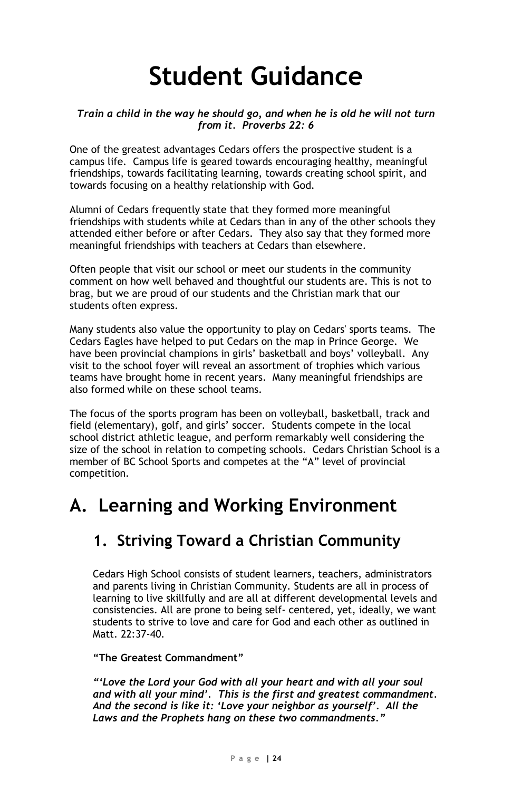# **Student Guidance**

#### *Train a child in the way he should go, and when he is old he will not turn from it. Proverbs 22: 6*

One of the greatest advantages Cedars offers the prospective student is a campus life. Campus life is geared towards encouraging healthy, meaningful friendships, towards facilitating learning, towards creating school spirit, and towards focusing on a healthy relationship with God.

Alumni of Cedars frequently state that they formed more meaningful friendships with students while at Cedars than in any of the other schools they attended either before or after Cedars. They also say that they formed more meaningful friendships with teachers at Cedars than elsewhere.

Often people that visit our school or meet our students in the community comment on how well behaved and thoughtful our students are. This is not to brag, but we are proud of our students and the Christian mark that our students often express.

Many students also value the opportunity to play on Cedars' sports teams. The Cedars Eagles have helped to put Cedars on the map in Prince George. We have been provincial champions in girls' basketball and boys' volleyball. Any visit to the school foyer will reveal an assortment of trophies which various teams have brought home in recent years. Many meaningful friendships are also formed while on these school teams.

The focus of the sports program has been on volleyball, basketball, track and field (elementary), golf, and girls' soccer. Students compete in the local school district athletic league, and perform remarkably well considering the size of the school in relation to competing schools. Cedars Christian School is a member of BC School Sports and competes at the "A" level of provincial competition.

# **A. Learning and Working Environment**

### **1. Striving Toward a Christian Community**

Cedars High School consists of student learners, teachers, administrators and parents living in Christian Community. Students are all in process of learning to live skillfully and are all at different developmental levels and consistencies. All are prone to being self- centered, yet, ideally, we want students to strive to love and care for God and each other as outlined in Matt. 22:37-40.

#### **"The Greatest Commandment"**

*"'Love the Lord your God with all your heart and with all your soul and with all your mind'. This is the first and greatest commandment. And the second is like it: 'Love your neighbor as yourself'. All the Laws and the Prophets hang on these two commandments."*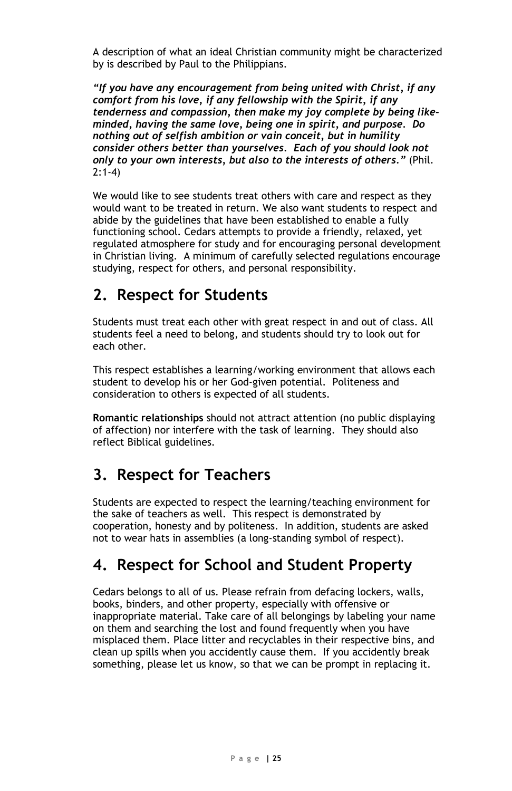A description of what an ideal Christian community might be characterized by is described by Paul to the Philippians.

*"If you have any encouragement from being united with Christ, if any comfort from his love, if any fellowship with the Spirit, if any tenderness and compassion, then make my joy complete by being likeminded, having the same love, being one in spirit, and purpose. Do nothing out of selfish ambition or vain conceit, but in humility consider others better than yourselves. Each of you should look not only to your own interests, but also to the interests of others."* (Phil.  $2.1 - 4$ 

We would like to see students treat others with care and respect as they would want to be treated in return. We also want students to respect and abide by the guidelines that have been established to enable a fully functioning school. Cedars attempts to provide a friendly, relaxed, yet regulated atmosphere for study and for encouraging personal development in Christian living. A minimum of carefully selected regulations encourage studying, respect for others, and personal responsibility.

### **2. Respect for Students**

Students must treat each other with great respect in and out of class. All students feel a need to belong, and students should try to look out for each other.

This respect establishes a learning/working environment that allows each student to develop his or her God-given potential. Politeness and consideration to others is expected of all students.

**Romantic relationships** should not attract attention (no public displaying of affection) nor interfere with the task of learning. They should also reflect Biblical guidelines.

### **3. Respect for Teachers**

Students are expected to respect the learning/teaching environment for the sake of teachers as well. This respect is demonstrated by cooperation, honesty and by politeness. In addition, students are asked not to wear hats in assemblies (a long-standing symbol of respect).

### **4. Respect for School and Student Property**

Cedars belongs to all of us. Please refrain from defacing lockers, walls, books, binders, and other property, especially with offensive or inappropriate material. Take care of all belongings by labeling your name on them and searching the lost and found frequently when you have misplaced them. Place litter and recyclables in their respective bins, and clean up spills when you accidently cause them. If you accidently break something, please let us know, so that we can be prompt in replacing it.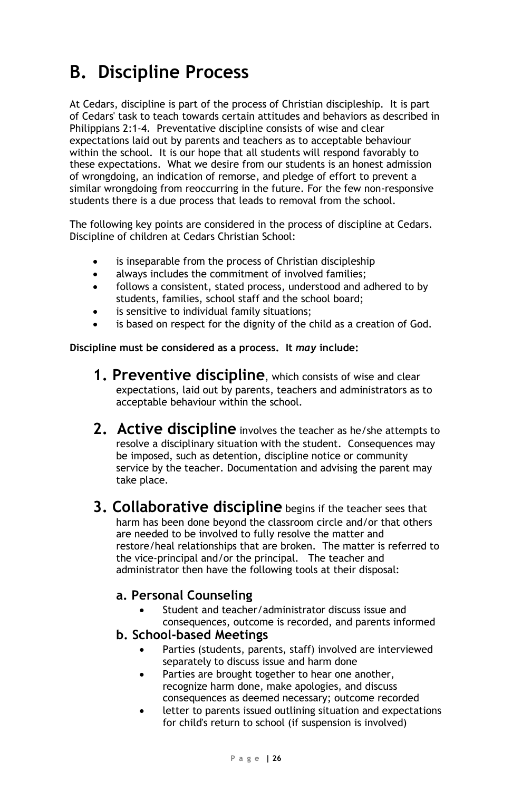# **B. Discipline Process**

At Cedars, discipline is part of the process of Christian discipleship. It is part of Cedars' task to teach towards certain attitudes and behaviors as described in Philippians 2:1-4. Preventative discipline consists of wise and clear expectations laid out by parents and teachers as to acceptable behaviour within the school. It is our hope that all students will respond favorably to these expectations. What we desire from our students is an honest admission of wrongdoing, an indication of remorse, and pledge of effort to prevent a similar wrongdoing from reoccurring in the future. For the few non-responsive students there is a due process that leads to removal from the school.

The following key points are considered in the process of discipline at Cedars. Discipline of children at Cedars Christian School:

- is inseparable from the process of Christian discipleship
- always includes the commitment of involved families;
- follows a consistent, stated process, understood and adhered to by students, families, school staff and the school board;
- is sensitive to individual family situations:
- is based on respect for the dignity of the child as a creation of God.

**Discipline must be considered as a process. It** *may* **include:**

- **1. Preventive discipline**, which consists of wise and clear expectations, laid out by parents, teachers and administrators as to acceptable behaviour within the school.
- **2. Active discipline** involves the teacher as he/she attempts to resolve a disciplinary situation with the student. Consequences may be imposed, such as detention, discipline notice or community service by the teacher. Documentation and advising the parent may take place.
- **3. Collaborative discipline** begins if the teacher sees that harm has been done beyond the classroom circle and/or that others are needed to be involved to fully resolve the matter and restore/heal relationships that are broken. The matter is referred to the vice-principal and/or the principal. The teacher and administrator then have the following tools at their disposal:

#### **a. Personal Counseling**

- Student and teacher/administrator discuss issue and consequences, outcome is recorded, and parents informed
- **b. School-based Meetings**
	- Parties (students, parents, staff) involved are interviewed separately to discuss issue and harm done
	- Parties are brought together to hear one another, recognize harm done, make apologies, and discuss consequences as deemed necessary; outcome recorded
	- letter to parents issued outlining situation and expectations for child's return to school (if suspension is involved)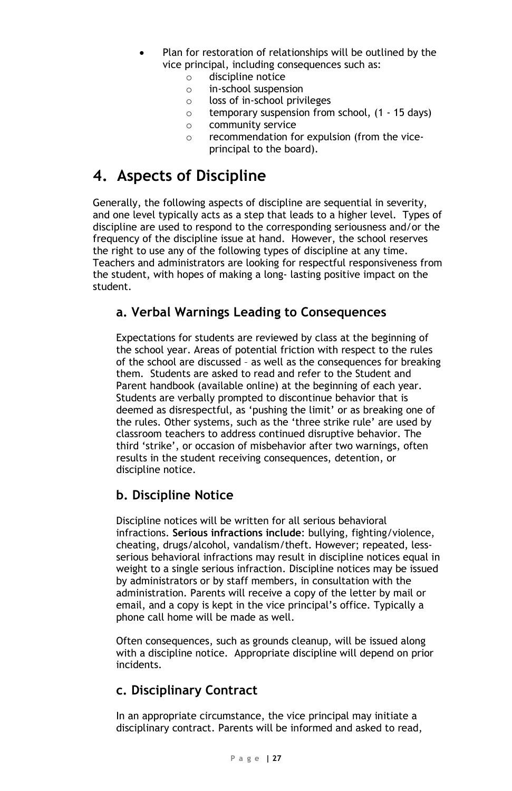- Plan for restoration of relationships will be outlined by the vice principal, including consequences such as:
	- $\circ$  discipline notice<br> $\circ$  in-school suspens
	- $\circ$  in-school suspension<br> $\circ$  loss of in-school privi
	- loss of in-school privileges
	- $\circ$  temporary suspension from school, (1 15 days)<br> $\circ$  community service
	- community service
	- o recommendation for expulsion (from the viceprincipal to the board).

### **4. Aspects of Discipline**

Generally, the following aspects of discipline are sequential in severity, and one level typically acts as a step that leads to a higher level. Types of discipline are used to respond to the corresponding seriousness and/or the frequency of the discipline issue at hand. However, the school reserves the right to use any of the following types of discipline at any time. Teachers and administrators are looking for respectful responsiveness from the student, with hopes of making a long- lasting positive impact on the student.

#### **a. Verbal Warnings Leading to Consequences**

Expectations for students are reviewed by class at the beginning of the school year. Areas of potential friction with respect to the rules of the school are discussed – as well as the consequences for breaking them. Students are asked to read and refer to the Student and Parent handbook (available online) at the beginning of each year. Students are verbally prompted to discontinue behavior that is deemed as disrespectful, as 'pushing the limit' or as breaking one of the rules. Other systems, such as the 'three strike rule' are used by classroom teachers to address continued disruptive behavior. The third 'strike', or occasion of misbehavior after two warnings, often results in the student receiving consequences, detention, or discipline notice.

#### **b. Discipline Notice**

Discipline notices will be written for all serious behavioral infractions. **Serious infractions include**: bullying, fighting/violence, cheating, drugs/alcohol, vandalism/theft. However; repeated, lessserious behavioral infractions may result in discipline notices equal in weight to a single serious infraction. Discipline notices may be issued by administrators or by staff members, in consultation with the administration. Parents will receive a copy of the letter by mail or email, and a copy is kept in the vice principal's office. Typically a phone call home will be made as well.

Often consequences, such as grounds cleanup, will be issued along with a discipline notice. Appropriate discipline will depend on prior incidents.

### **c. Disciplinary Contract**

In an appropriate circumstance, the vice principal may initiate a disciplinary contract. Parents will be informed and asked to read,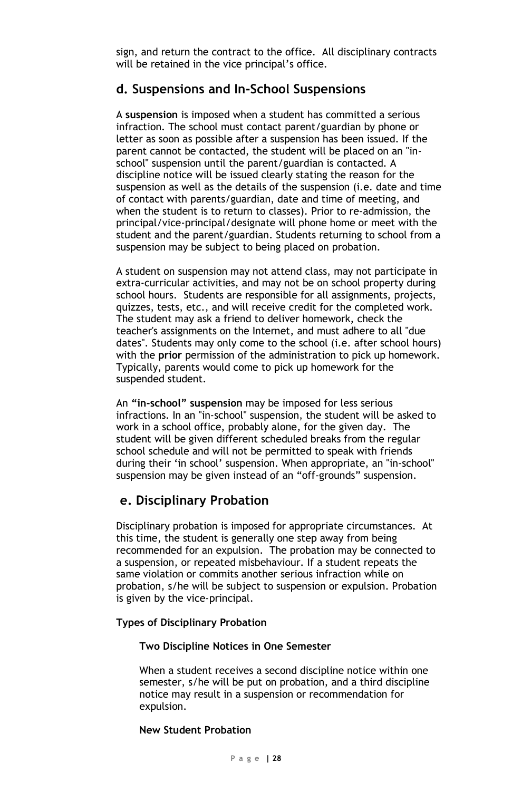sign, and return the contract to the office. All disciplinary contracts will be retained in the vice principal's office.

#### **d. Suspensions and In-School Suspensions**

A **suspension** is imposed when a student has committed a serious infraction. The school must contact parent/guardian by phone or letter as soon as possible after a suspension has been issued. If the parent cannot be contacted, the student will be placed on an "inschool" suspension until the parent/guardian is contacted. A discipline notice will be issued clearly stating the reason for the suspension as well as the details of the suspension (i.e. date and time of contact with parents/guardian, date and time of meeting, and when the student is to return to classes). Prior to re-admission, the principal/vice-principal/designate will phone home or meet with the student and the parent/guardian. Students returning to school from a suspension may be subject to being placed on probation.

A student on suspension may not attend class, may not participate in extra-curricular activities, and may not be on school property during school hours. Students are responsible for all assignments, projects, quizzes, tests, etc., and will receive credit for the completed work. The student may ask a friend to deliver homework, check the teacher's assignments on the Internet, and must adhere to all "due dates". Students may only come to the school (i.e. after school hours) with the **prior** permission of the administration to pick up homework. Typically, parents would come to pick up homework for the suspended student.

An **"in-school" suspension** may be imposed for less serious infractions. In an "in-school" suspension, the student will be asked to work in a school office, probably alone, for the given day. The student will be given different scheduled breaks from the regular school schedule and will not be permitted to speak with friends during their 'in school' suspension. When appropriate, an "in-school" suspension may be given instead of an "off-grounds" suspension.

### **e. Disciplinary Probation**

Disciplinary probation is imposed for appropriate circumstances. At this time, the student is generally one step away from being recommended for an expulsion. The probation may be connected to a suspension, or repeated misbehaviour. If a student repeats the same violation or commits another serious infraction while on probation, s/he will be subject to suspension or expulsion. Probation is given by the vice-principal.

#### **Types of Disciplinary Probation**

#### **Two Discipline Notices in One Semester**

When a student receives a second discipline notice within one semester, s/he will be put on probation, and a third discipline notice may result in a suspension or recommendation for expulsion.

#### **New Student Probation**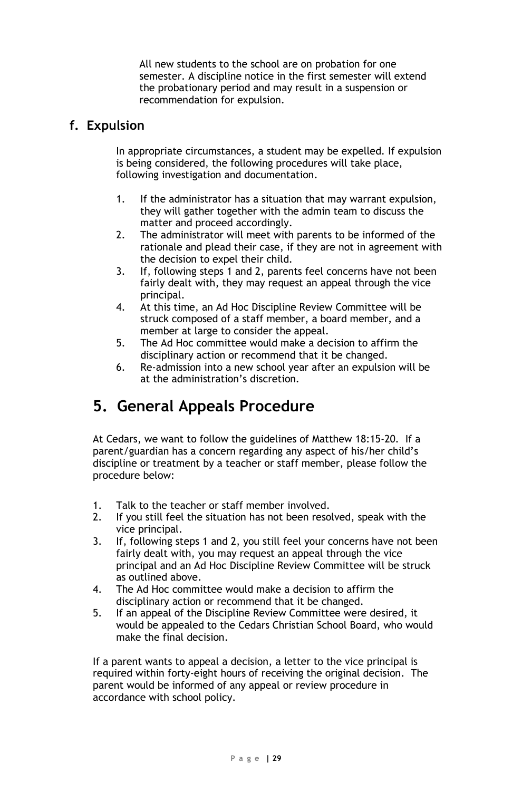All new students to the school are on probation for one semester. A discipline notice in the first semester will extend the probationary period and may result in a suspension or recommendation for expulsion.

#### **f. Expulsion**

In appropriate circumstances, a student may be expelled. If expulsion is being considered, the following procedures will take place, following investigation and documentation.

- 1. If the administrator has a situation that may warrant expulsion, they will gather together with the admin team to discuss the matter and proceed accordingly.
- 2. The administrator will meet with parents to be informed of the rationale and plead their case, if they are not in agreement with the decision to expel their child.
- 3. If, following steps 1 and 2, parents feel concerns have not been fairly dealt with, they may request an appeal through the vice principal.
- 4. At this time, an Ad Hoc Discipline Review Committee will be struck composed of a staff member, a board member, and a member at large to consider the appeal.
- 5. The Ad Hoc committee would make a decision to affirm the disciplinary action or recommend that it be changed.
- 6. Re-admission into a new school year after an expulsion will be at the administration's discretion.

### **5. General Appeals Procedure**

At Cedars, we want to follow the guidelines of Matthew 18:15-20. If a parent/guardian has a concern regarding any aspect of his/her child's discipline or treatment by a teacher or staff member, please follow the procedure below:

- 1. Talk to the teacher or staff member involved.
- 2. If you still feel the situation has not been resolved, speak with the vice principal.
- 3. If, following steps 1 and 2, you still feel your concerns have not been fairly dealt with, you may request an appeal through the vice principal and an Ad Hoc Discipline Review Committee will be struck as outlined above.
- 4. The Ad Hoc committee would make a decision to affirm the disciplinary action or recommend that it be changed.
- 5. If an appeal of the Discipline Review Committee were desired, it would be appealed to the Cedars Christian School Board, who would make the final decision.

If a parent wants to appeal a decision, a letter to the vice principal is required within forty-eight hours of receiving the original decision. The parent would be informed of any appeal or review procedure in accordance with school policy.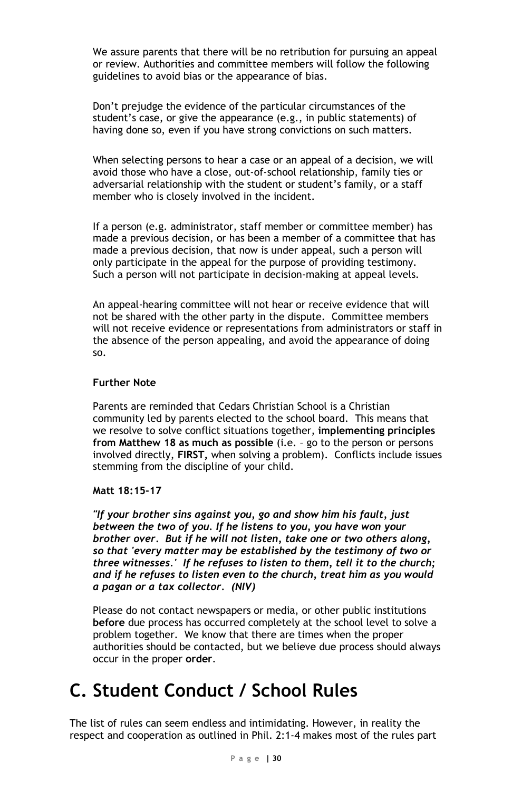We assure parents that there will be no retribution for pursuing an appeal or review. Authorities and committee members will follow the following guidelines to avoid bias or the appearance of bias.

Don't prejudge the evidence of the particular circumstances of the student's case, or give the appearance (e.g., in public statements) of having done so, even if you have strong convictions on such matters.

When selecting persons to hear a case or an appeal of a decision, we will avoid those who have a close, out-of-school relationship, family ties or adversarial relationship with the student or student's family, or a staff member who is closely involved in the incident.

If a person (e.g. administrator, staff member or committee member) has made a previous decision, or has been a member of a committee that has made a previous decision, that now is under appeal, such a person will only participate in the appeal for the purpose of providing testimony. Such a person will not participate in decision-making at appeal levels.

An appeal-hearing committee will not hear or receive evidence that will not be shared with the other party in the dispute. Committee members will not receive evidence or representations from administrators or staff in the absence of the person appealing, and avoid the appearance of doing so.

#### **Further Note**

Parents are reminded that Cedars Christian School is a Christian community led by parents elected to the school board. This means that we resolve to solve conflict situations together, **implementing principles from Matthew 18 as much as possible** (i.e. – go to the person or persons involved directly, **FIRST,** when solving a problem). Conflicts include issues stemming from the discipline of your child.

#### **Matt 18:15-17**

*"If your brother sins against you, go and show him his fault, just between the two of you. If he listens to you, you have won your brother over. But if he will not listen, take one or two others along, so that 'every matter may be established by the testimony of two or three witnesses.' If he refuses to listen to them, tell it to the church; and if he refuses to listen even to the church, treat him as you would a pagan or a tax collector. (NIV)*

Please do not contact newspapers or media, or other public institutions **before** due process has occurred completely at the school level to solve a problem together. We know that there are times when the proper authorities should be contacted, but we believe due process should always occur in the proper **order**.

# **C. Student Conduct / School Rules**

The list of rules can seem endless and intimidating. However, in reality the respect and cooperation as outlined in Phil. 2:1-4 makes most of the rules part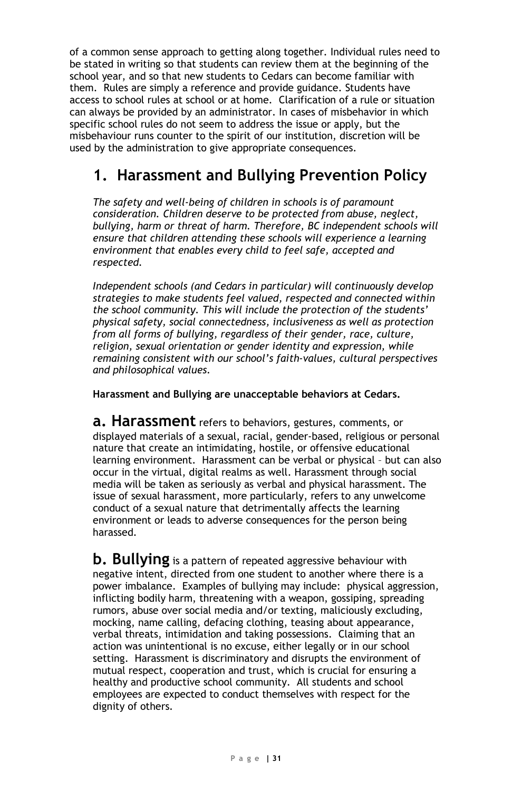of a common sense approach to getting along together. Individual rules need to be stated in writing so that students can review them at the beginning of the school year, and so that new students to Cedars can become familiar with them. Rules are simply a reference and provide guidance. Students have access to school rules at school or at home. Clarification of a rule or situation can always be provided by an administrator. In cases of misbehavior in which specific school rules do not seem to address the issue or apply, but the misbehaviour runs counter to the spirit of our institution, discretion will be used by the administration to give appropriate consequences.

### **1. Harassment and Bullying Prevention Policy**

*The safety and well-being of children in schools is of paramount consideration. Children deserve to be protected from abuse, neglect, bullying, harm or threat of harm. Therefore, BC independent schools will ensure that children attending these schools will experience a learning environment that enables every child to feel safe, accepted and respected.* 

*Independent schools (and Cedars in particular) will continuously develop strategies to make students feel valued, respected and connected within the school community. This will include the protection of the students' physical safety, social connectedness, inclusiveness as well as protection from all forms of bullying, regardless of their gender, race, culture, religion, sexual orientation or gender identity and expression, while remaining consistent with our school's faith-values, cultural perspectives and philosophical values.*

**Harassment and Bullying are unacceptable behaviors at Cedars.** 

**a. Harassment** refers to behaviors, gestures, comments, or displayed materials of a sexual, racial, gender-based, religious or personal nature that create an intimidating, hostile, or offensive educational learning environment. Harassment can be verbal or physical – but can also occur in the virtual, digital realms as well. Harassment through social media will be taken as seriously as verbal and physical harassment. The issue of sexual harassment, more particularly, refers to any unwelcome conduct of a sexual nature that detrimentally affects the learning environment or leads to adverse consequences for the person being harassed.

**b. Bullying** is a pattern of repeated aggressive behaviour with negative intent, directed from one student to another where there is a power imbalance. Examples of bullying may include: physical aggression, inflicting bodily harm, threatening with a weapon, gossiping, spreading rumors, abuse over social media and/or texting, maliciously excluding, mocking, name calling, defacing clothing, teasing about appearance, verbal threats, intimidation and taking possessions. Claiming that an action was unintentional is no excuse, either legally or in our school setting. Harassment is discriminatory and disrupts the environment of mutual respect, cooperation and trust, which is crucial for ensuring a healthy and productive school community. All students and school employees are expected to conduct themselves with respect for the dignity of others.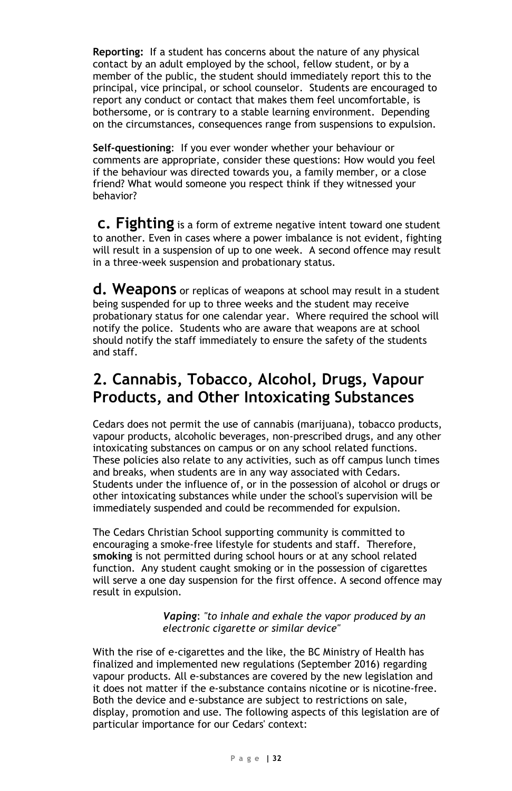**Reporting:** If a student has concerns about the nature of any physical contact by an adult employed by the school, fellow student, or by a member of the public, the student should immediately report this to the principal, vice principal, or school counselor. Students are encouraged to report any conduct or contact that makes them feel uncomfortable, is bothersome, or is contrary to a stable learning environment. Depending on the circumstances, consequences range from suspensions to expulsion.

**Self-questioning**: If you ever wonder whether your behaviour or comments are appropriate, consider these questions: How would you feel if the behaviour was directed towards you, a family member, or a close friend? What would someone you respect think if they witnessed your behavior?

**c. Fighting** is a form of extreme negative intent toward one student to another. Even in cases where a power imbalance is not evident, fighting will result in a suspension of up to one week. A second offence may result in a three-week suspension and probationary status.

**d. Weapons** or replicas of weapons at school may result in a student being suspended for up to three weeks and the student may receive probationary status for one calendar year. Where required the school will notify the police. Students who are aware that weapons are at school should notify the staff immediately to ensure the safety of the students and staff.

### **2. Cannabis, Tobacco, Alcohol, Drugs, Vapour Products, and Other Intoxicating Substances**

Cedars does not permit the use of cannabis (marijuana), tobacco products, vapour products, alcoholic beverages, non-prescribed drugs, and any other intoxicating substances on campus or on any school related functions. These policies also relate to any activities, such as off campus lunch times and breaks, when students are in any way associated with Cedars. Students under the influence of, or in the possession of alcohol or drugs or other intoxicating substances while under the school's supervision will be immediately suspended and could be recommended for expulsion.

The Cedars Christian School supporting community is committed to encouraging a smoke-free lifestyle for students and staff. Therefore, **smoking** is not permitted during school hours or at any school related function. Any student caught smoking or in the possession of cigarettes will serve a one day suspension for the first offence. A second offence may result in expulsion.

> *Vaping*: *"to inhale and exhale the vapor produced by an electronic cigarette or similar device"*

With the rise of e-cigarettes and the like, the BC Ministry of Health has finalized and implemented new regulations (September 2016) regarding vapour products. All e-substances are covered by the new legislation and it does not matter if the e-substance contains nicotine or is nicotine-free. Both the device and e-substance are subject to restrictions on sale, display, promotion and use. The following aspects of this legislation are of particular importance for our Cedars' context: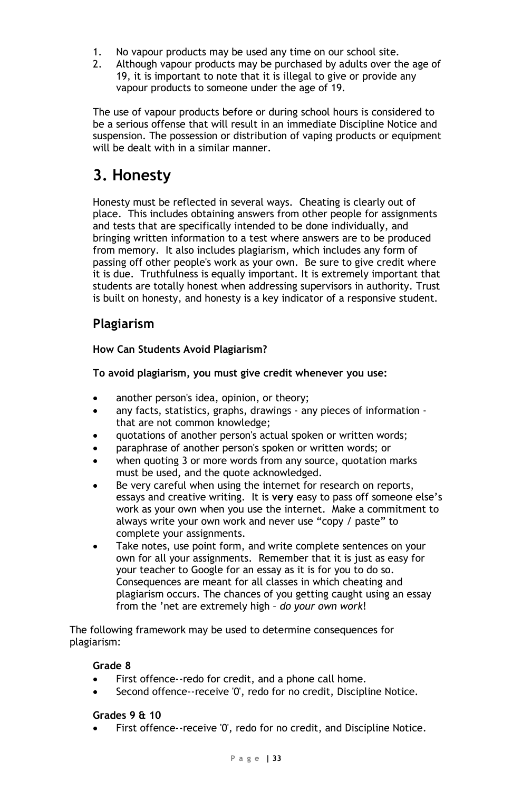- 1. No vapour products may be used any time on our school site.
- 2. Although vapour products may be purchased by adults over the age of 19, it is important to note that it is illegal to give or provide any vapour products to someone under the age of 19.

The use of vapour products before or during school hours is considered to be a serious offense that will result in an immediate Discipline Notice and suspension. The possession or distribution of vaping products or equipment will be dealt with in a similar manner.

### **3. Honesty**

Honesty must be reflected in several ways. Cheating is clearly out of place. This includes obtaining answers from other people for assignments and tests that are specifically intended to be done individually, and bringing written information to a test where answers are to be produced from memory. It also includes plagiarism, which includes any form of passing off other people's work as your own. Be sure to give credit where it is due. Truthfulness is equally important. It is extremely important that students are totally honest when addressing supervisors in authority. Trust is built on honesty, and honesty is a key indicator of a responsive student.

### **Plagiarism**

#### **How Can Students Avoid Plagiarism?**

#### **To avoid plagiarism, you must give credit whenever you use:**

- another person's idea, opinion, or theory;
- any facts, statistics, graphs, drawings any pieces of information that are not common knowledge;
- quotations of another person's actual spoken or written words;
- paraphrase of another person's spoken or written words; or
- when quoting 3 or more words from any source, quotation marks must be used, and the quote acknowledged.
- Be very careful when using the internet for research on reports, essays and creative writing. It is **very** easy to pass off someone else's work as your own when you use the internet. Make a commitment to always write your own work and never use "copy / paste" to complete your assignments.
- Take notes, use point form, and write complete sentences on your own for all your assignments. Remember that it is just as easy for your teacher to Google for an essay as it is for you to do so. Consequences are meant for all classes in which cheating and plagiarism occurs. The chances of you getting caught using an essay from the 'net are extremely high – *do your own work*!

The following framework may be used to determine consequences for plagiarism:

#### **Grade 8**

- First offence--redo for credit, and a phone call home.
- Second offence--receive '0', redo for no credit, Discipline Notice.

#### **Grades 9 & 10**

First offence--receive '0', redo for no credit, and Discipline Notice.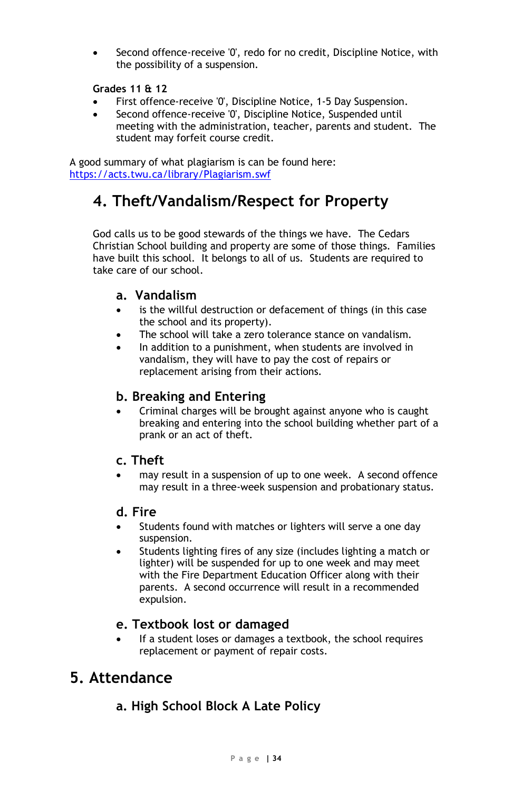Second offence-receive '0', redo for no credit, Discipline Notice, with the possibility of a suspension.

#### **Grades 11 & 12**

- First offence-receive '0', Discipline Notice, 1-5 Day Suspension.
- Second offence-receive '0', Discipline Notice, Suspended until meeting with the administration, teacher, parents and student. The student may forfeit course credit.

A good summary of what plagiarism is can be found here: <https://acts.twu.ca/library/Plagiarism.swf>

### **4. Theft/Vandalism/Respect for Property**

God calls us to be good stewards of the things we have. The Cedars Christian School building and property are some of those things. Families have built this school. It belongs to all of us. Students are required to take care of our school.

#### **a. Vandalism**

- is the willful destruction or defacement of things (in this case the school and its property).
- The school will take a zero tolerance stance on vandalism.
- In addition to a punishment, when students are involved in vandalism, they will have to pay the cost of repairs or replacement arising from their actions.

#### **b. Breaking and Entering**

• Criminal charges will be brought against anyone who is caught breaking and entering into the school building whether part of a prank or an act of theft.

#### **c. Theft**

may result in a suspension of up to one week. A second offence may result in a three-week suspension and probationary status.

#### **d. Fire**

- Students found with matches or lighters will serve a one day suspension.
- Students lighting fires of any size (includes lighting a match or lighter) will be suspended for up to one week and may meet with the Fire Department Education Officer along with their parents. A second occurrence will result in a recommended expulsion.

#### **e. Textbook lost or damaged**

If a student loses or damages a textbook, the school requires replacement or payment of repair costs.

### **5. Attendance**

### **a. High School Block A Late Policy**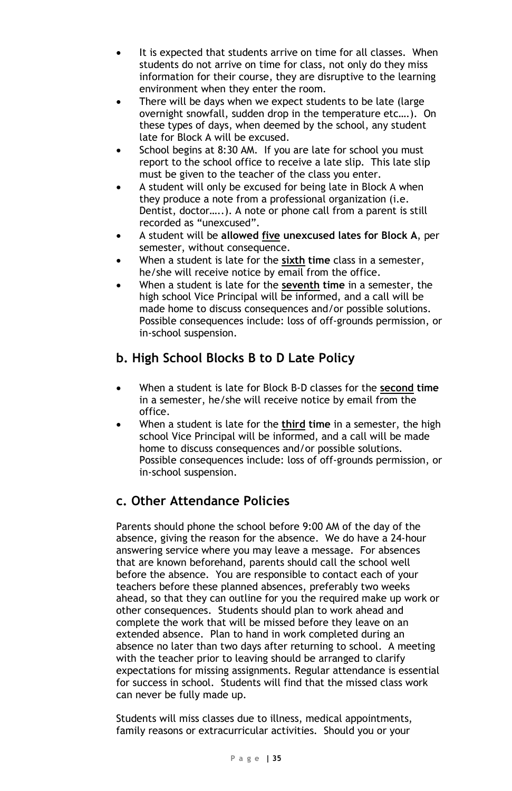- It is expected that students arrive on time for all classes. When students do not arrive on time for class, not only do they miss information for their course, they are disruptive to the learning environment when they enter the room.
- There will be days when we expect students to be late (large overnight snowfall, sudden drop in the temperature etc….). On these types of days, when deemed by the school, any student late for Block A will be excused.
- School begins at 8:30 AM. If you are late for school you must report to the school office to receive a late slip. This late slip must be given to the teacher of the class you enter.
- A student will only be excused for being late in Block A when they produce a note from a professional organization (i.e. Dentist, doctor…..). A note or phone call from a parent is still recorded as "unexcused".
- A student will be **allowed five unexcused lates for Block A**, per semester, without consequence.
- When a student is late for the **sixth time** class in a semester, he/she will receive notice by email from the office.
- When a student is late for the **seventh time** in a semester, the high school Vice Principal will be informed, and a call will be made home to discuss consequences and/or possible solutions. Possible consequences include: loss of off-grounds permission, or in-school suspension.

### **b. High School Blocks B to D Late Policy**

- When a student is late for Block B-D classes for the **second time** in a semester, he/she will receive notice by email from the office.
- When a student is late for the **third time** in a semester, the high school Vice Principal will be informed, and a call will be made home to discuss consequences and/or possible solutions. Possible consequences include: loss of off-grounds permission, or in-school suspension.

### **c. Other Attendance Policies**

Parents should phone the school before 9:00 AM of the day of the absence, giving the reason for the absence. We do have a 24-hour answering service where you may leave a message. For absences that are known beforehand, parents should call the school well before the absence. You are responsible to contact each of your teachers before these planned absences, preferably two weeks ahead, so that they can outline for you the required make up work or other consequences. Students should plan to work ahead and complete the work that will be missed before they leave on an extended absence. Plan to hand in work completed during an absence no later than two days after returning to school. A meeting with the teacher prior to leaving should be arranged to clarify expectations for missing assignments. Regular attendance is essential for success in school. Students will find that the missed class work can never be fully made up.

Students will miss classes due to illness, medical appointments, family reasons or extracurricular activities. Should you or your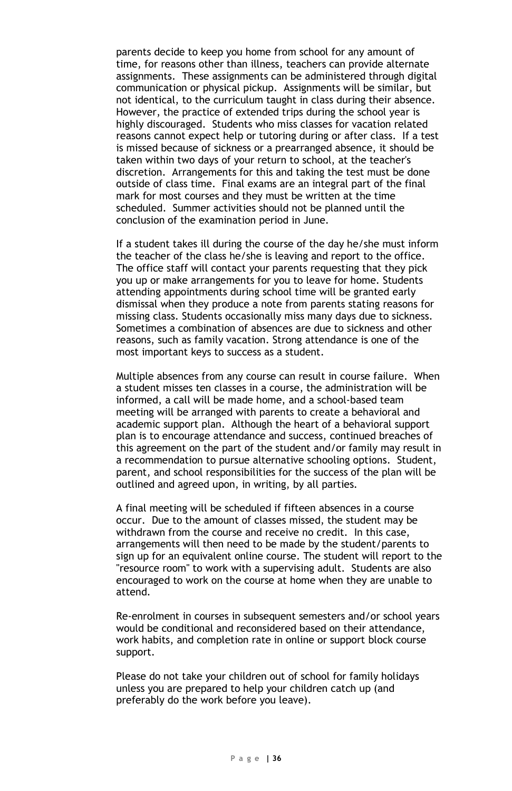parents decide to keep you home from school for any amount of time, for reasons other than illness, teachers can provide alternate assignments. These assignments can be administered through digital communication or physical pickup. Assignments will be similar, but not identical, to the curriculum taught in class during their absence. However, the practice of extended trips during the school year is highly discouraged. Students who miss classes for vacation related reasons cannot expect help or tutoring during or after class. If a test is missed because of sickness or a prearranged absence, it should be taken within two days of your return to school, at the teacher's discretion. Arrangements for this and taking the test must be done outside of class time. Final exams are an integral part of the final mark for most courses and they must be written at the time scheduled. Summer activities should not be planned until the conclusion of the examination period in June.

If a student takes ill during the course of the day he/she must inform the teacher of the class he/she is leaving and report to the office. The office staff will contact your parents requesting that they pick you up or make arrangements for you to leave for home. Students attending appointments during school time will be granted early dismissal when they produce a note from parents stating reasons for missing class. Students occasionally miss many days due to sickness. Sometimes a combination of absences are due to sickness and other reasons, such as family vacation. Strong attendance is one of the most important keys to success as a student.

Multiple absences from any course can result in course failure. When a student misses ten classes in a course, the administration will be informed, a call will be made home, and a school-based team meeting will be arranged with parents to create a behavioral and academic support plan. Although the heart of a behavioral support plan is to encourage attendance and success, continued breaches of this agreement on the part of the student and/or family may result in a recommendation to pursue alternative schooling options. Student, parent, and school responsibilities for the success of the plan will be outlined and agreed upon, in writing, by all parties.

A final meeting will be scheduled if fifteen absences in a course occur. Due to the amount of classes missed, the student may be withdrawn from the course and receive no credit. In this case, arrangements will then need to be made by the student/parents to sign up for an equivalent online course. The student will report to the "resource room" to work with a supervising adult. Students are also encouraged to work on the course at home when they are unable to attend.

Re-enrolment in courses in subsequent semesters and/or school years would be conditional and reconsidered based on their attendance, work habits, and completion rate in online or support block course support.

Please do not take your children out of school for family holidays unless you are prepared to help your children catch up (and preferably do the work before you leave).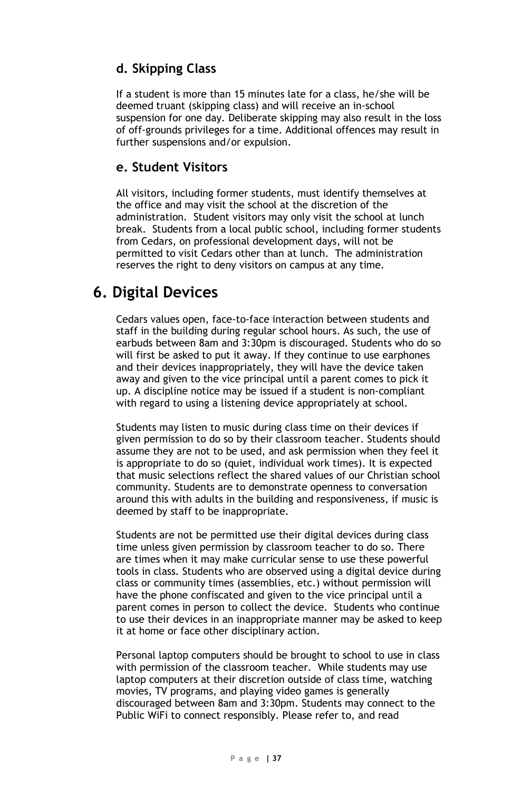### **d. Skipping Class**

If a student is more than 15 minutes late for a class, he/she will be deemed truant (skipping class) and will receive an in-school suspension for one day. Deliberate skipping may also result in the loss of off-grounds privileges for a time. Additional offences may result in further suspensions and/or expulsion.

#### **e. Student Visitors**

All visitors, including former students, must identify themselves at the office and may visit the school at the discretion of the administration. Student visitors may only visit the school at lunch break. Students from a local public school, including former students from Cedars, on professional development days, will not be permitted to visit Cedars other than at lunch. The administration reserves the right to deny visitors on campus at any time.

### **6. Digital Devices**

Cedars values open, face-to-face interaction between students and staff in the building during regular school hours. As such, the use of earbuds between 8am and 3:30pm is discouraged. Students who do so will first be asked to put it away. If they continue to use earphones and their devices inappropriately, they will have the device taken away and given to the vice principal until a parent comes to pick it up. A discipline notice may be issued if a student is non-compliant with regard to using a listening device appropriately at school.

Students may listen to music during class time on their devices if given permission to do so by their classroom teacher. Students should assume they are not to be used, and ask permission when they feel it is appropriate to do so (quiet, individual work times). It is expected that music selections reflect the shared values of our Christian school community. Students are to demonstrate openness to conversation around this with adults in the building and responsiveness, if music is deemed by staff to be inappropriate.

Students are not be permitted use their digital devices during class time unless given permission by classroom teacher to do so. There are times when it may make curricular sense to use these powerful tools in class. Students who are observed using a digital device during class or community times (assemblies, etc.) without permission will have the phone confiscated and given to the vice principal until a parent comes in person to collect the device. Students who continue to use their devices in an inappropriate manner may be asked to keep it at home or face other disciplinary action.

Personal laptop computers should be brought to school to use in class with permission of the classroom teacher. While students may use laptop computers at their discretion outside of class time, watching movies, TV programs, and playing video games is generally discouraged between 8am and 3:30pm. Students may connect to the Public WiFi to connect responsibly. Please refer to, and read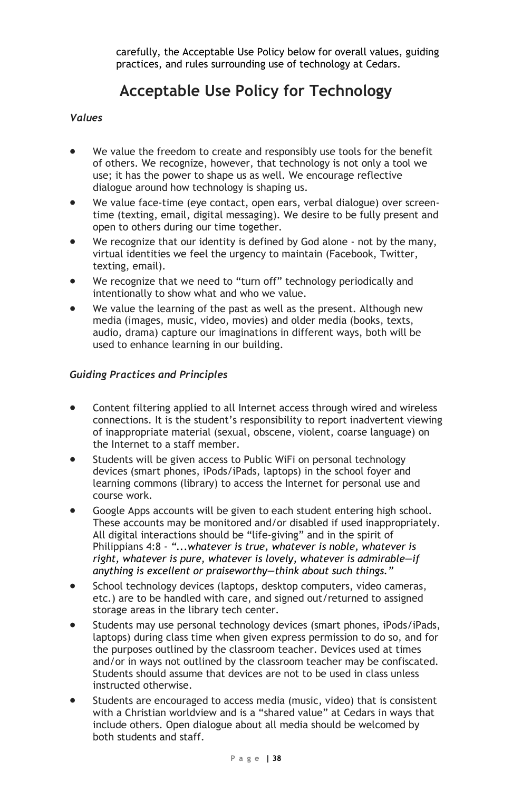carefully, the Acceptable Use Policy below for overall values, guiding practices, and rules surrounding use of technology at Cedars.

### **Acceptable Use Policy for Technology**

#### *Values*

- We value the freedom to create and responsibly use tools for the benefit of others. We recognize, however, that technology is not only a tool we use; it has the power to shape us as well. We encourage reflective dialogue around how technology is shaping us.
- We value face-time (eye contact, open ears, verbal dialogue) over screentime (texting, email, digital messaging). We desire to be fully present and open to others during our time together.
- We recognize that our identity is defined by God alone not by the many, virtual identities we feel the urgency to maintain (Facebook, Twitter, texting, email).
- We recognize that we need to "turn off" technology periodically and intentionally to show what and who we value.
- We value the learning of the past as well as the present. Although new media (images, music, video, movies) and older media (books, texts, audio, drama) capture our imaginations in different ways, both will be used to enhance learning in our building.

#### *Guiding Practices and Principles*

- Content filtering applied to all Internet access through wired and wireless connections. It is the student's responsibility to report inadvertent viewing of inappropriate material (sexual, obscene, violent, coarse language) on the Internet to a staff member.
- Students will be given access to Public WiFi on personal technology devices (smart phones, iPods/iPads, laptops) in the school foyer and learning commons (library) to access the Internet for personal use and course work.
- Google Apps accounts will be given to each student entering high school. These accounts may be monitored and/or disabled if used inappropriately. All digital interactions should be "life-giving" and in the spirit of Philippians 4:8 - *"...whatever is true, whatever is noble, whatever is right, whatever is pure, whatever is lovely, whatever is admirable—if anything is excellent or praiseworthy—think about such things."*
- School technology devices (laptops, desktop computers, video cameras, etc.) are to be handled with care, and signed out/returned to assigned storage areas in the library tech center.
- Students may use personal technology devices (smart phones, iPods/iPads, laptops) during class time when given express permission to do so, and for the purposes outlined by the classroom teacher. Devices used at times and/or in ways not outlined by the classroom teacher may be confiscated. Students should assume that devices are not to be used in class unless instructed otherwise.
- Students are encouraged to access media (music, video) that is consistent with a Christian worldview and is a "shared value" at Cedars in ways that include others. Open dialogue about all media should be welcomed by both students and staff.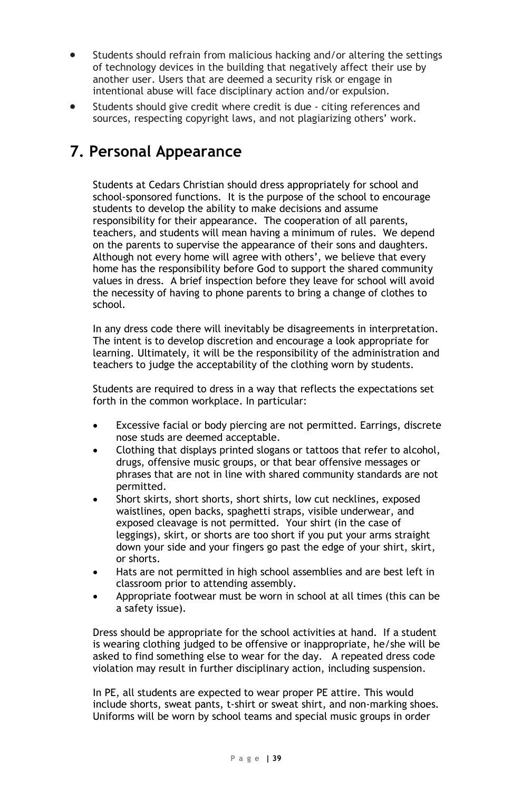- Students should refrain from malicious hacking and/or altering the settings of technology devices in the building that negatively affect their use by another user. Users that are deemed a security risk or engage in intentional abuse will face disciplinary action and/or expulsion.
- Students should give credit where credit is due citing references and sources, respecting copyright laws, and not plagiarizing others' work.

### **7. Personal Appearance**

Students at Cedars Christian should dress appropriately for school and school-sponsored functions. It is the purpose of the school to encourage students to develop the ability to make decisions and assume responsibility for their appearance. The cooperation of all parents, teachers, and students will mean having a minimum of rules. We depend on the parents to supervise the appearance of their sons and daughters. Although not every home will agree with others', we believe that every home has the responsibility before God to support the shared community values in dress. A brief inspection before they leave for school will avoid the necessity of having to phone parents to bring a change of clothes to school.

In any dress code there will inevitably be disagreements in interpretation. The intent is to develop discretion and encourage a look appropriate for learning. Ultimately, it will be the responsibility of the administration and teachers to judge the acceptability of the clothing worn by students.

Students are required to dress in a way that reflects the expectations set forth in the common workplace. In particular:

- Excessive facial or body piercing are not permitted. Earrings, discrete nose studs are deemed acceptable.
- Clothing that displays printed slogans or tattoos that refer to alcohol, drugs, offensive music groups, or that bear offensive messages or phrases that are not in line with shared community standards are not permitted.
- Short skirts, short shorts, short shirts, low cut necklines, exposed waistlines, open backs, spaghetti straps, visible underwear, and exposed cleavage is not permitted. Your shirt (in the case of leggings), skirt, or shorts are too short if you put your arms straight down your side and your fingers go past the edge of your shirt, skirt, or shorts.
- Hats are not permitted in high school assemblies and are best left in classroom prior to attending assembly.
- Appropriate footwear must be worn in school at all times (this can be a safety issue).

Dress should be appropriate for the school activities at hand. If a student is wearing clothing judged to be offensive or inappropriate, he/she will be asked to find something else to wear for the day. A repeated dress code violation may result in further disciplinary action, including suspension.

In PE, all students are expected to wear proper PE attire. This would include shorts, sweat pants, t-shirt or sweat shirt, and non-marking shoes. Uniforms will be worn by school teams and special music groups in order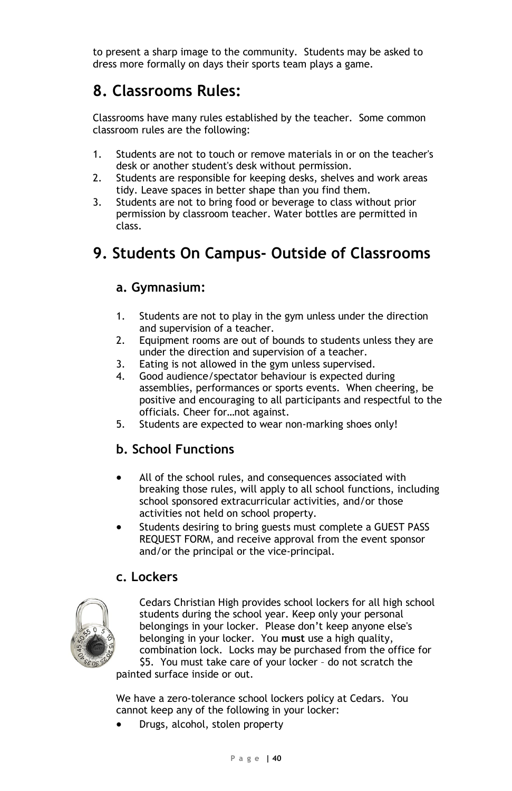to present a sharp image to the community. Students may be asked to dress more formally on days their sports team plays a game.

### **8. Classrooms Rules:**

Classrooms have many rules established by the teacher. Some common classroom rules are the following:

- 1. Students are not to touch or remove materials in or on the teacher's desk or another student's desk without permission.
- 2. Students are responsible for keeping desks, shelves and work areas tidy. Leave spaces in better shape than you find them.
- 3. Students are not to bring food or beverage to class without prior permission by classroom teacher. Water bottles are permitted in class.

### **9. Students On Campus- Outside of Classrooms**

#### **a. Gymnasium:**

- 1. Students are not to play in the gym unless under the direction and supervision of a teacher.
- 2. Equipment rooms are out of bounds to students unless they are under the direction and supervision of a teacher.
- 3. Eating is not allowed in the gym unless supervised.
- 4. Good audience/spectator behaviour is expected during assemblies, performances or sports events. When cheering, be positive and encouraging to all participants and respectful to the officials. Cheer for…not against.
- 5. Students are expected to wear non-marking shoes only!

### **b. School Functions**

- All of the school rules, and consequences associated with breaking those rules, will apply to all school functions, including school sponsored extracurricular activities, and/or those activities not held on school property.
- Students desiring to bring guests must complete a GUEST PASS REQUEST FORM, and receive approval from the event sponsor and/or the principal or the vice-principal.

#### **c. Lockers**



Cedars Christian High provides school lockers for all high school students during the school year. Keep only your personal belongings in your locker. Please don't keep anyone else's belonging in your locker. You **must** use a high quality, combination lock. Locks may be purchased from the office for \$5. You must take care of your locker – do not scratch the

painted surface inside or out.

We have a zero-tolerance school lockers policy at Cedars. You cannot keep any of the following in your locker:

• Drugs, alcohol, stolen property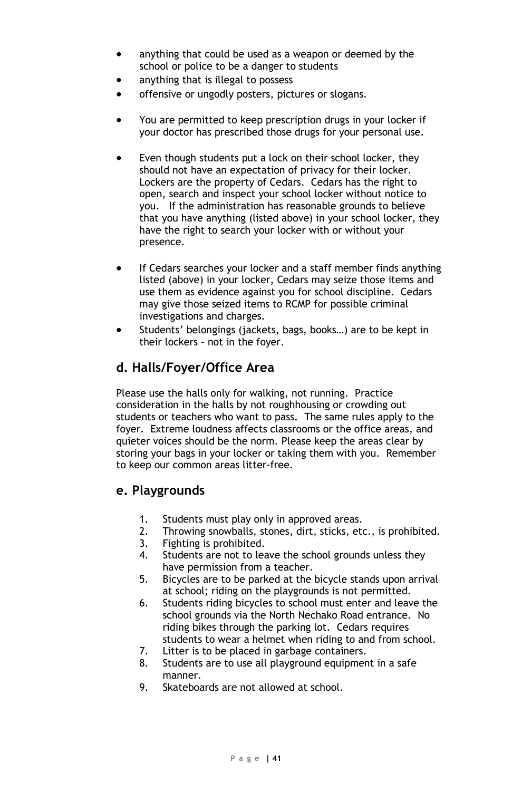- anything that could be used as a weapon or deemed by the school or police to be a danger to students
- anything that is illegal to possess
- offensive or ungodly posters, pictures or slogans.
- You are permitted to keep prescription drugs in your locker if your doctor has prescribed those drugs for your personal use.
- Even though students put a lock on their school locker, they should not have an expectation of privacy for their locker. Lockers are the property of Cedars. Cedars has the right to open, search and inspect your school locker without notice to you. If the administration has reasonable grounds to believe that you have anything (listed above) in your school locker, they have the right to search your locker with or without your presence.
- If Cedars searches your locker and a staff member finds anything listed (above) in your locker, Cedars may seize those items and use them as evidence against you for school discipline. Cedars may give those seized items to RCMP for possible criminal investigations and charges.
- Students' belongings (jackets, bags, books...) are to be kept in their lockers – not in the foyer.

#### **d. Halls/Foyer/Office Area**

Please use the halls only for walking, not running. Practice consideration in the halls by not roughhousing or crowding out students or teachers who want to pass. The same rules apply to the foyer. Extreme loudness affects classrooms or the office areas, and quieter voices should be the norm. Please keep the areas clear by storing your bags in your locker or taking them with you. Remember to keep our common areas litter-free.

#### **e. Playgrounds**

- 1. Students must play only in approved areas.
- 2. Throwing snowballs, stones, dirt, sticks, etc., is prohibited.
- 3. Fighting is prohibited.<br>4. Students are not to lea
- Students are not to leave the school grounds unless they have permission from a teacher.
- 5. Bicycles are to be parked at the bicycle stands upon arrival at school; riding on the playgrounds is not permitted.
- 6. Students riding bicycles to school must enter and leave the school grounds via the North Nechako Road entrance. No riding bikes through the parking lot. Cedars requires students to wear a helmet when riding to and from school.
- 7. Litter is to be placed in garbage containers.
- 8. Students are to use all playground equipment in a safe manner.
- 9. Skateboards are not allowed at school.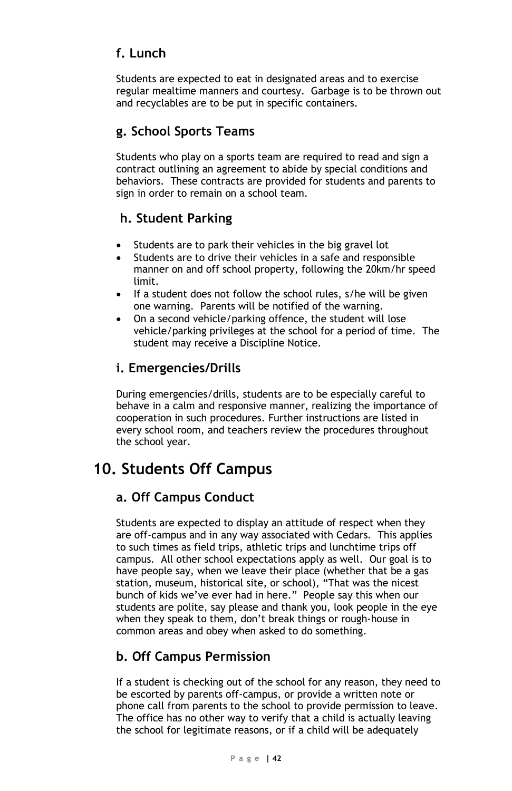### **f. Lunch**

Students are expected to eat in designated areas and to exercise regular mealtime manners and courtesy. Garbage is to be thrown out and recyclables are to be put in specific containers.

### **g. School Sports Teams**

Students who play on a sports team are required to read and sign a contract outlining an agreement to abide by special conditions and behaviors. These contracts are provided for students and parents to sign in order to remain on a school team.

### **h. Student Parking**

- Students are to park their vehicles in the big gravel lot
- Students are to drive their vehicles in a safe and responsible manner on and off school property, following the 20km/hr speed limit.
- If a student does not follow the school rules, s/he will be given one warning. Parents will be notified of the warning.
- On a second vehicle/parking offence, the student will lose vehicle/parking privileges at the school for a period of time. The student may receive a Discipline Notice.

### **i. Emergencies/Drills**

During emergencies/drills, students are to be especially careful to behave in a calm and responsive manner, realizing the importance of cooperation in such procedures. Further instructions are listed in every school room, and teachers review the procedures throughout the school year.

### **10. Students Off Campus**

### **a. Off Campus Conduct**

Students are expected to display an attitude of respect when they are off-campus and in any way associated with Cedars. This applies to such times as field trips, athletic trips and lunchtime trips off campus. All other school expectations apply as well. Our goal is to have people say, when we leave their place (whether that be a gas station, museum, historical site, or school), "That was the nicest bunch of kids we've ever had in here." People say this when our students are polite, say please and thank you, look people in the eye when they speak to them, don't break things or rough-house in common areas and obey when asked to do something.

### **b. Off Campus Permission**

If a student is checking out of the school for any reason, they need to be escorted by parents off-campus, or provide a written note or phone call from parents to the school to provide permission to leave. The office has no other way to verify that a child is actually leaving the school for legitimate reasons, or if a child will be adequately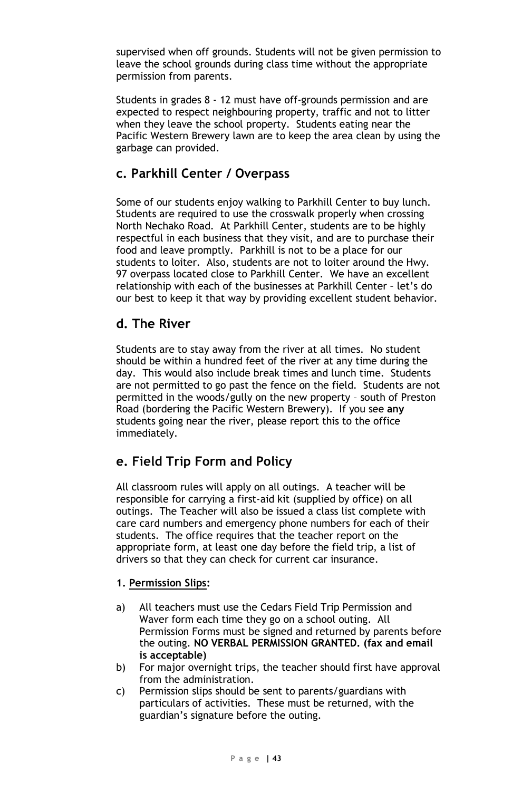supervised when off grounds. Students will not be given permission to leave the school grounds during class time without the appropriate permission from parents.

Students in grades 8 - 12 must have off-grounds permission and are expected to respect neighbouring property, traffic and not to litter when they leave the school property. Students eating near the Pacific Western Brewery lawn are to keep the area clean by using the garbage can provided.

#### **c. Parkhill Center / Overpass**

Some of our students enjoy walking to Parkhill Center to buy lunch. Students are required to use the crosswalk properly when crossing North Nechako Road. At Parkhill Center, students are to be highly respectful in each business that they visit, and are to purchase their food and leave promptly. Parkhill is not to be a place for our students to loiter. Also, students are not to loiter around the Hwy. 97 overpass located close to Parkhill Center. We have an excellent relationship with each of the businesses at Parkhill Center – let's do our best to keep it that way by providing excellent student behavior.

#### **d. The River**

Students are to stay away from the river at all times. No student should be within a hundred feet of the river at any time during the day. This would also include break times and lunch time. Students are not permitted to go past the fence on the field. Students are not permitted in the woods/gully on the new property – south of Preston Road (bordering the Pacific Western Brewery). If you see **any** students going near the river, please report this to the office immediately.

### **e. Field Trip Form and Policy**

All classroom rules will apply on all outings. A teacher will be responsible for carrying a first-aid kit (supplied by office) on all outings. The Teacher will also be issued a class list complete with care card numbers and emergency phone numbers for each of their students. The office requires that the teacher report on the appropriate form, at least one day before the field trip, a list of drivers so that they can check for current car insurance.

#### **1. Permission Slips:**

- a) All teachers must use the Cedars Field Trip Permission and Waver form each time they go on a school outing. All Permission Forms must be signed and returned by parents before the outing. **NO VERBAL PERMISSION GRANTED. (fax and email is acceptable)**
- b) For major overnight trips, the teacher should first have approval from the administration.
- c) Permission slips should be sent to parents/guardians with particulars of activities. These must be returned, with the guardian's signature before the outing.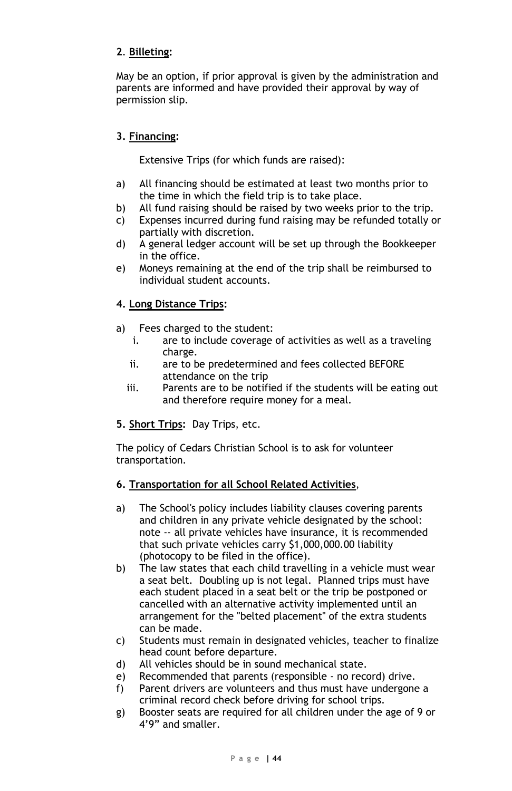#### **2**. **Billeting:**

May be an option, if prior approval is given by the administration and parents are informed and have provided their approval by way of permission slip.

#### **3. Financing:**

Extensive Trips (for which funds are raised):

- a) All financing should be estimated at least two months prior to the time in which the field trip is to take place.
- b) All fund raising should be raised by two weeks prior to the trip.
- c) Expenses incurred during fund raising may be refunded totally or partially with discretion.
- d) A general ledger account will be set up through the Bookkeeper in the office.
- e) Moneys remaining at the end of the trip shall be reimbursed to individual student accounts.

#### **4. Long Distance Trips:**

- a) Fees charged to the student:
	- i. are to include coverage of activities as well as a traveling charge.
	- ii. are to be predetermined and fees collected BEFORE attendance on the trip
	- iii. Parents are to be notified if the students will be eating out and therefore require money for a meal.
- **5. Short Trips:** Day Trips, etc.

The policy of Cedars Christian School is to ask for volunteer transportation.

#### **6. Transportation for all School Related Activities**,

- a) The School's policy includes liability clauses covering parents and children in any private vehicle designated by the school: note -- all private vehicles have insurance, it is recommended that such private vehicles carry \$1,000,000.00 liability (photocopy to be filed in the office).
- b) The law states that each child travelling in a vehicle must wear a seat belt. Doubling up is not legal. Planned trips must have each student placed in a seat belt or the trip be postponed or cancelled with an alternative activity implemented until an arrangement for the "belted placement" of the extra students can be made.
- c) Students must remain in designated vehicles, teacher to finalize head count before departure.
- d) All vehicles should be in sound mechanical state.
- e) Recommended that parents (responsible no record) drive.
- f) Parent drivers are volunteers and thus must have undergone a criminal record check before driving for school trips.
- g) Booster seats are required for all children under the age of 9 or 4'9" and smaller.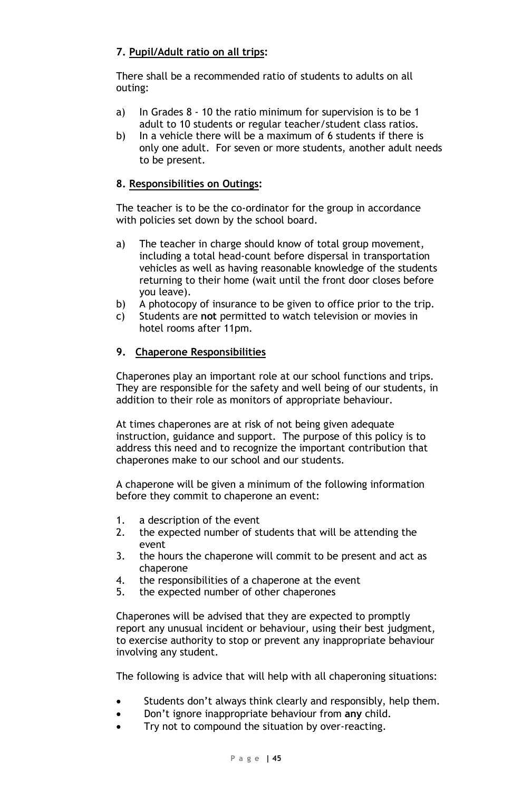#### **7. Pupil/Adult ratio on all trips:**

There shall be a recommended ratio of students to adults on all outing:

- a) In Grades 8 10 the ratio minimum for supervision is to be 1 adult to 10 students or regular teacher/student class ratios.
- b) In a vehicle there will be a maximum of 6 students if there is only one adult. For seven or more students, another adult needs to be present.

#### **8. Responsibilities on Outings:**

The teacher is to be the co-ordinator for the group in accordance with policies set down by the school board.

- a) The teacher in charge should know of total group movement, including a total head-count before dispersal in transportation vehicles as well as having reasonable knowledge of the students returning to their home (wait until the front door closes before you leave).
- b) A photocopy of insurance to be given to office prior to the trip.
- c) Students are **not** permitted to watch television or movies in hotel rooms after 11pm.

#### **9. Chaperone Responsibilities**

Chaperones play an important role at our school functions and trips. They are responsible for the safety and well being of our students, in addition to their role as monitors of appropriate behaviour.

At times chaperones are at risk of not being given adequate instruction, guidance and support. The purpose of this policy is to address this need and to recognize the important contribution that chaperones make to our school and our students.

A chaperone will be given a minimum of the following information before they commit to chaperone an event:

- 1. a description of the event<br>2. the expected number of st
- the expected number of students that will be attending the event
- 3. the hours the chaperone will commit to be present and act as chaperone
- 4. the responsibilities of a chaperone at the event
- 5. the expected number of other chaperones

Chaperones will be advised that they are expected to promptly report any unusual incident or behaviour, using their best judgment, to exercise authority to stop or prevent any inappropriate behaviour involving any student.

The following is advice that will help with all chaperoning situations:

- Students don't always think clearly and responsibly, help them.
- Don't ignore inappropriate behaviour from **any** child.
- Try not to compound the situation by over-reacting.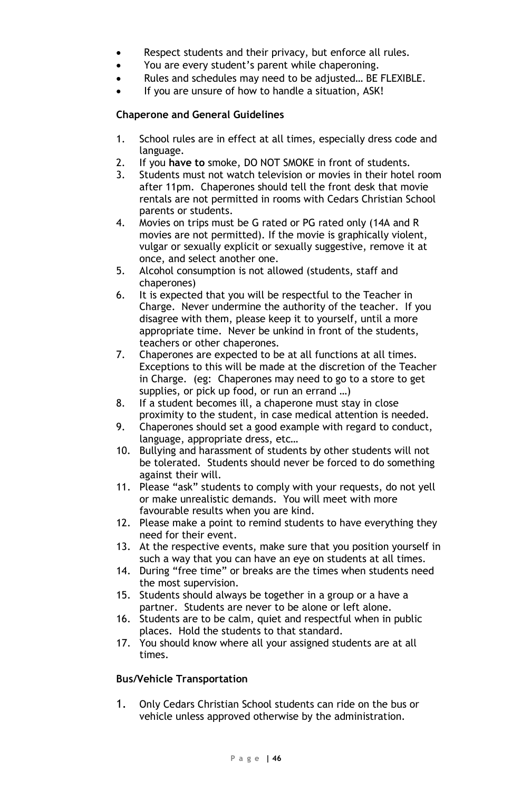- Respect students and their privacy, but enforce all rules.
- You are every student's parent while chaperoning.
- Rules and schedules may need to be adjusted… BE FLEXIBLE.
- If you are unsure of how to handle a situation, ASK!

#### **Chaperone and General Guidelines**

- 1. School rules are in effect at all times, especially dress code and language.
- 2. If you **have to** smoke, DO NOT SMOKE in front of students.
- 3. Students must not watch television or movies in their hotel room after 11pm. Chaperones should tell the front desk that movie rentals are not permitted in rooms with Cedars Christian School parents or students.
- 4. Movies on trips must be G rated or PG rated only (14A and R movies are not permitted). If the movie is graphically violent, vulgar or sexually explicit or sexually suggestive, remove it at once, and select another one.
- 5. Alcohol consumption is not allowed (students, staff and chaperones)
- 6. It is expected that you will be respectful to the Teacher in Charge. Never undermine the authority of the teacher. If you disagree with them, please keep it to yourself, until a more appropriate time. Never be unkind in front of the students, teachers or other chaperones.
- 7. Chaperones are expected to be at all functions at all times. Exceptions to this will be made at the discretion of the Teacher in Charge. (eg: Chaperones may need to go to a store to get supplies, or pick up food, or run an errand …)
- 8. If a student becomes ill, a chaperone must stay in close proximity to the student, in case medical attention is needed.
- 9. Chaperones should set a good example with regard to conduct, language, appropriate dress, etc…
- 10. Bullying and harassment of students by other students will not be tolerated. Students should never be forced to do something against their will.
- 11. Please "ask" students to comply with your requests, do not yell or make unrealistic demands. You will meet with more favourable results when you are kind.
- 12. Please make a point to remind students to have everything they need for their event.
- 13. At the respective events, make sure that you position yourself in such a way that you can have an eye on students at all times.
- 14. During "free time" or breaks are the times when students need the most supervision.
- 15. Students should always be together in a group or a have a partner. Students are never to be alone or left alone.
- 16. Students are to be calm, quiet and respectful when in public places. Hold the students to that standard.
- 17. You should know where all your assigned students are at all times.

#### **Bus/Vehicle Transportation**

1. Only Cedars Christian School students can ride on the bus or vehicle unless approved otherwise by the administration.